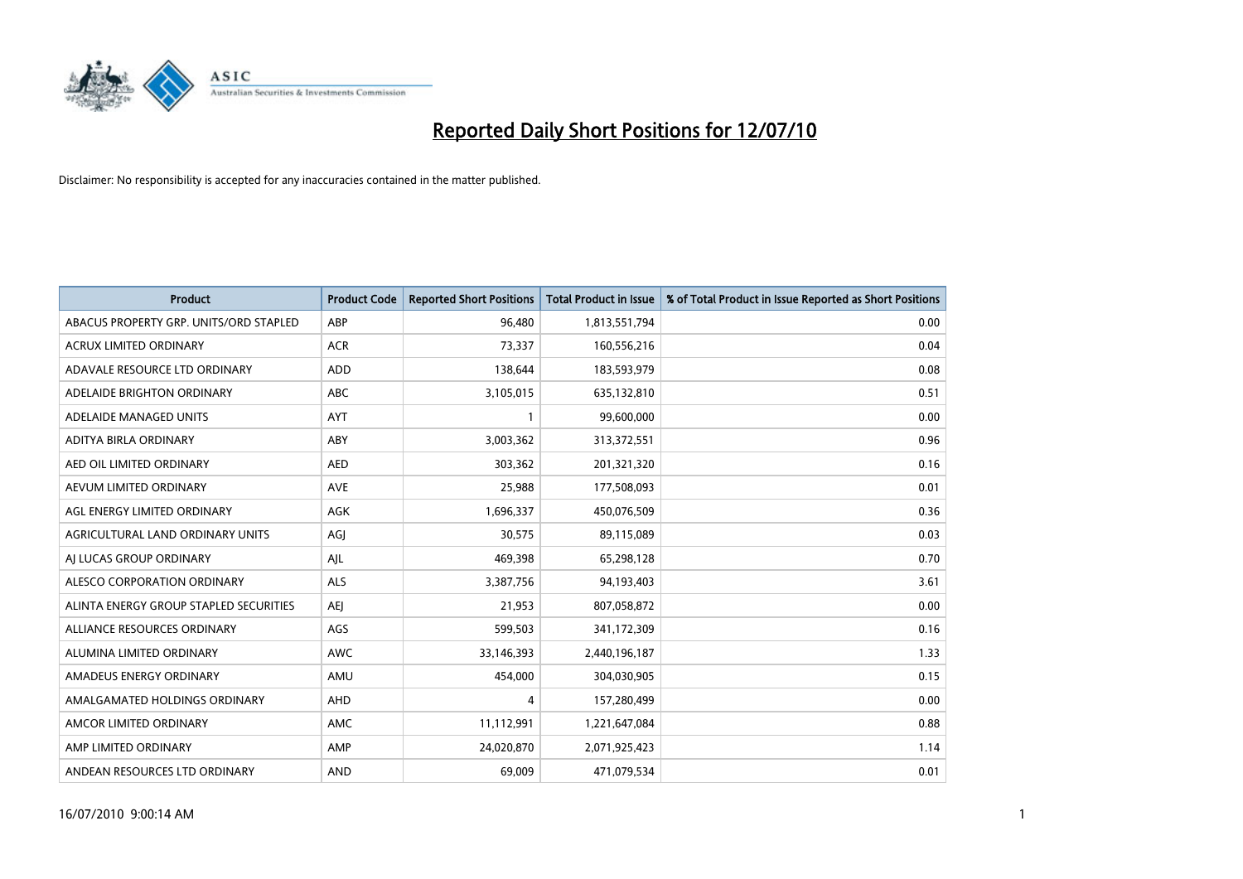

| <b>Product</b>                         | <b>Product Code</b> | <b>Reported Short Positions</b> | <b>Total Product in Issue</b> | % of Total Product in Issue Reported as Short Positions |
|----------------------------------------|---------------------|---------------------------------|-------------------------------|---------------------------------------------------------|
| ABACUS PROPERTY GRP. UNITS/ORD STAPLED | ABP                 | 96,480                          | 1,813,551,794                 | 0.00                                                    |
| <b>ACRUX LIMITED ORDINARY</b>          | <b>ACR</b>          | 73,337                          | 160,556,216                   | 0.04                                                    |
| ADAVALE RESOURCE LTD ORDINARY          | ADD                 | 138,644                         | 183,593,979                   | 0.08                                                    |
| ADELAIDE BRIGHTON ORDINARY             | <b>ABC</b>          | 3,105,015                       | 635,132,810                   | 0.51                                                    |
| ADELAIDE MANAGED UNITS                 | <b>AYT</b>          |                                 | 99,600,000                    | 0.00                                                    |
| ADITYA BIRLA ORDINARY                  | ABY                 | 3,003,362                       | 313,372,551                   | 0.96                                                    |
| AED OIL LIMITED ORDINARY               | <b>AED</b>          | 303.362                         | 201,321,320                   | 0.16                                                    |
| AEVUM LIMITED ORDINARY                 | <b>AVE</b>          | 25,988                          | 177,508,093                   | 0.01                                                    |
| AGL ENERGY LIMITED ORDINARY            | <b>AGK</b>          | 1,696,337                       | 450,076,509                   | 0.36                                                    |
| AGRICULTURAL LAND ORDINARY UNITS       | AGJ                 | 30.575                          | 89,115,089                    | 0.03                                                    |
| AI LUCAS GROUP ORDINARY                | AJL                 | 469,398                         | 65,298,128                    | 0.70                                                    |
| ALESCO CORPORATION ORDINARY            | <b>ALS</b>          | 3,387,756                       | 94,193,403                    | 3.61                                                    |
| ALINTA ENERGY GROUP STAPLED SECURITIES | <b>AEI</b>          | 21.953                          | 807,058,872                   | 0.00                                                    |
| ALLIANCE RESOURCES ORDINARY            | AGS                 | 599,503                         | 341,172,309                   | 0.16                                                    |
| ALUMINA LIMITED ORDINARY               | <b>AWC</b>          | 33,146,393                      | 2,440,196,187                 | 1.33                                                    |
| AMADEUS ENERGY ORDINARY                | AMU                 | 454,000                         | 304,030,905                   | 0.15                                                    |
| AMALGAMATED HOLDINGS ORDINARY          | AHD                 | 4                               | 157,280,499                   | 0.00                                                    |
| AMCOR LIMITED ORDINARY                 | AMC                 | 11,112,991                      | 1,221,647,084                 | 0.88                                                    |
| AMP LIMITED ORDINARY                   | AMP                 | 24,020,870                      | 2,071,925,423                 | 1.14                                                    |
| ANDEAN RESOURCES LTD ORDINARY          | <b>AND</b>          | 69.009                          | 471,079,534                   | 0.01                                                    |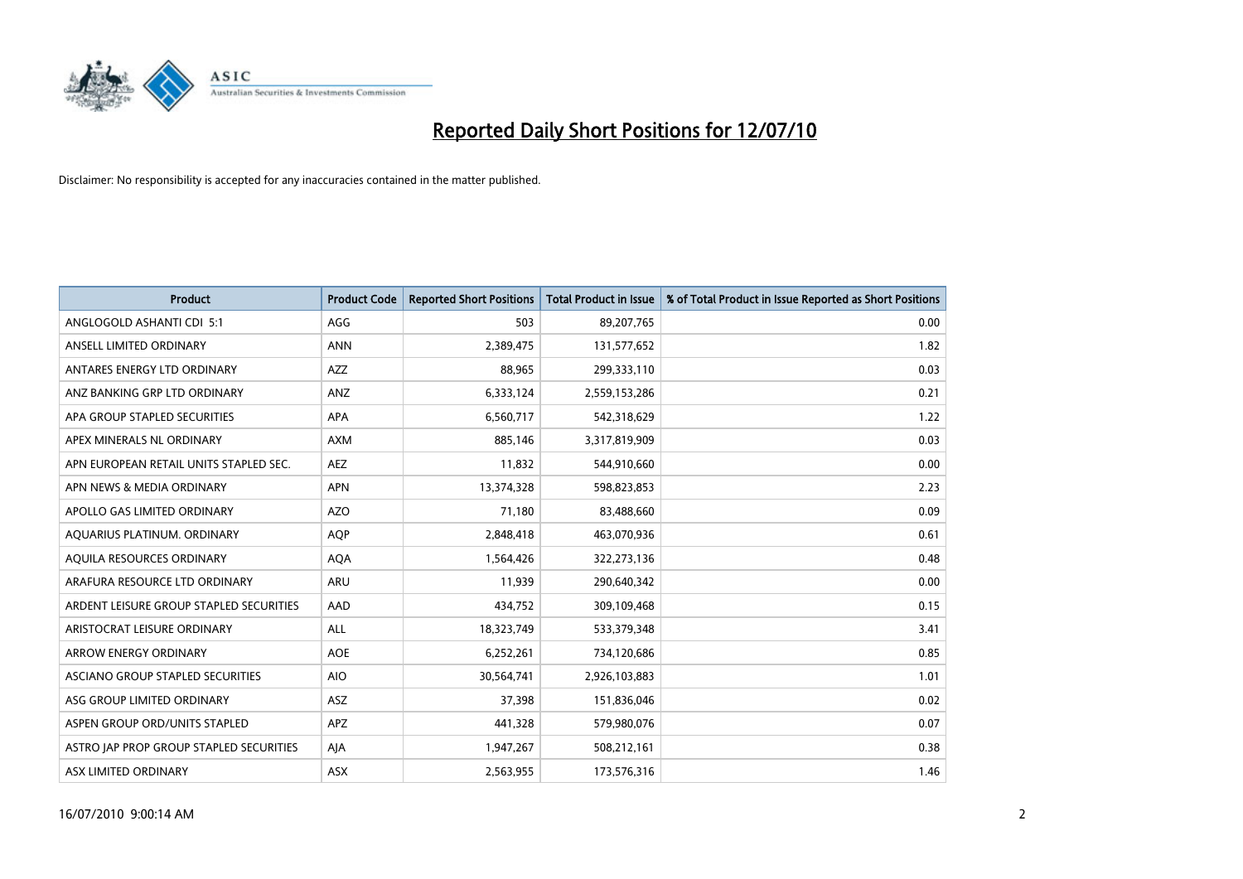

| <b>Product</b>                          | <b>Product Code</b> | <b>Reported Short Positions</b> | Total Product in Issue | % of Total Product in Issue Reported as Short Positions |
|-----------------------------------------|---------------------|---------------------------------|------------------------|---------------------------------------------------------|
| ANGLOGOLD ASHANTI CDI 5:1               | AGG                 | 503                             | 89,207,765             | 0.00                                                    |
| ANSELL LIMITED ORDINARY                 | <b>ANN</b>          | 2,389,475                       | 131,577,652            | 1.82                                                    |
| ANTARES ENERGY LTD ORDINARY             | <b>AZZ</b>          | 88.965                          | 299,333,110            | 0.03                                                    |
| ANZ BANKING GRP LTD ORDINARY            | ANZ                 | 6,333,124                       | 2,559,153,286          | 0.21                                                    |
| APA GROUP STAPLED SECURITIES            | APA                 | 6,560,717                       | 542,318,629            | 1.22                                                    |
| APEX MINERALS NL ORDINARY               | <b>AXM</b>          | 885,146                         | 3,317,819,909          | 0.03                                                    |
| APN EUROPEAN RETAIL UNITS STAPLED SEC.  | <b>AEZ</b>          | 11,832                          | 544,910,660            | 0.00                                                    |
| APN NEWS & MEDIA ORDINARY               | <b>APN</b>          | 13,374,328                      | 598,823,853            | 2.23                                                    |
| APOLLO GAS LIMITED ORDINARY             | <b>AZO</b>          | 71,180                          | 83,488,660             | 0.09                                                    |
| AQUARIUS PLATINUM. ORDINARY             | <b>AOP</b>          | 2,848,418                       | 463,070,936            | 0.61                                                    |
| AQUILA RESOURCES ORDINARY               | <b>AQA</b>          | 1,564,426                       | 322,273,136            | 0.48                                                    |
| ARAFURA RESOURCE LTD ORDINARY           | <b>ARU</b>          | 11,939                          | 290,640,342            | 0.00                                                    |
| ARDENT LEISURE GROUP STAPLED SECURITIES | AAD                 | 434,752                         | 309,109,468            | 0.15                                                    |
| ARISTOCRAT LEISURE ORDINARY             | ALL                 | 18,323,749                      | 533,379,348            | 3.41                                                    |
| <b>ARROW ENERGY ORDINARY</b>            | <b>AOE</b>          | 6,252,261                       | 734,120,686            | 0.85                                                    |
| ASCIANO GROUP STAPLED SECURITIES        | <b>AIO</b>          | 30,564,741                      | 2,926,103,883          | 1.01                                                    |
| ASG GROUP LIMITED ORDINARY              | ASZ                 | 37,398                          | 151,836,046            | 0.02                                                    |
| ASPEN GROUP ORD/UNITS STAPLED           | <b>APZ</b>          | 441,328                         | 579,980,076            | 0.07                                                    |
| ASTRO JAP PROP GROUP STAPLED SECURITIES | AJA                 | 1,947,267                       | 508,212,161            | 0.38                                                    |
| ASX LIMITED ORDINARY                    | ASX                 | 2,563,955                       | 173,576,316            | 1.46                                                    |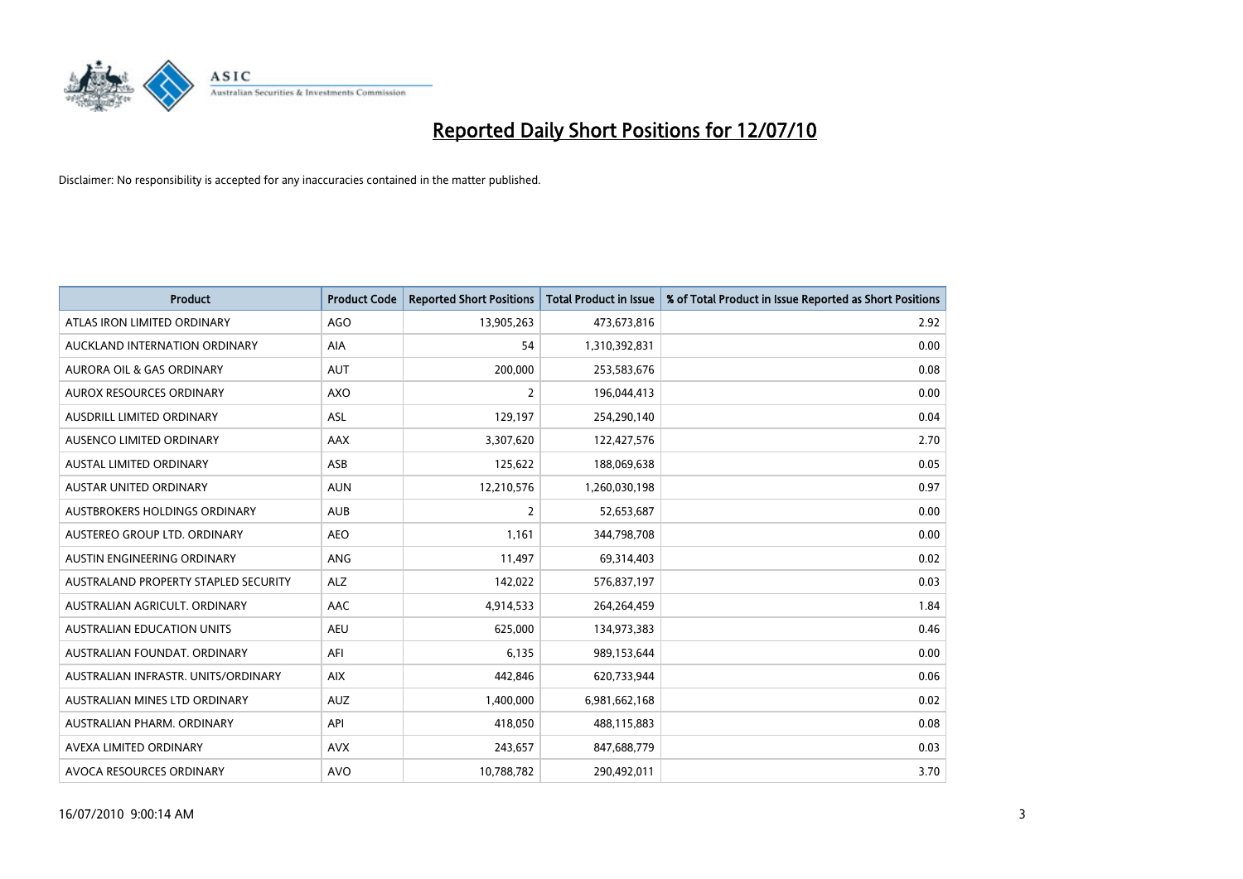

| <b>Product</b>                       | <b>Product Code</b> | <b>Reported Short Positions</b> | <b>Total Product in Issue</b> | % of Total Product in Issue Reported as Short Positions |
|--------------------------------------|---------------------|---------------------------------|-------------------------------|---------------------------------------------------------|
| ATLAS IRON LIMITED ORDINARY          | <b>AGO</b>          | 13,905,263                      | 473,673,816                   | 2.92                                                    |
| AUCKLAND INTERNATION ORDINARY        | AIA                 | 54                              | 1,310,392,831                 | 0.00                                                    |
| <b>AURORA OIL &amp; GAS ORDINARY</b> | <b>AUT</b>          | 200,000                         | 253,583,676                   | 0.08                                                    |
| AUROX RESOURCES ORDINARY             | <b>AXO</b>          | $\overline{2}$                  | 196,044,413                   | 0.00                                                    |
| <b>AUSDRILL LIMITED ORDINARY</b>     | ASL                 | 129,197                         | 254,290,140                   | 0.04                                                    |
| AUSENCO LIMITED ORDINARY             | AAX                 | 3,307,620                       | 122,427,576                   | 2.70                                                    |
| <b>AUSTAL LIMITED ORDINARY</b>       | ASB                 | 125,622                         | 188,069,638                   | 0.05                                                    |
| AUSTAR UNITED ORDINARY               | <b>AUN</b>          | 12,210,576                      | 1,260,030,198                 | 0.97                                                    |
| AUSTBROKERS HOLDINGS ORDINARY        | <b>AUB</b>          | $\overline{2}$                  | 52,653,687                    | 0.00                                                    |
| AUSTEREO GROUP LTD. ORDINARY         | AEO                 | 1,161                           | 344,798,708                   | 0.00                                                    |
| AUSTIN ENGINEERING ORDINARY          | ANG                 | 11,497                          | 69,314,403                    | 0.02                                                    |
| AUSTRALAND PROPERTY STAPLED SECURITY | <b>ALZ</b>          | 142,022                         | 576,837,197                   | 0.03                                                    |
| AUSTRALIAN AGRICULT. ORDINARY        | AAC                 | 4,914,533                       | 264,264,459                   | 1.84                                                    |
| AUSTRALIAN EDUCATION UNITS           | <b>AEU</b>          | 625,000                         | 134,973,383                   | 0.46                                                    |
| AUSTRALIAN FOUNDAT, ORDINARY         | AFI                 | 6,135                           | 989,153,644                   | 0.00                                                    |
| AUSTRALIAN INFRASTR, UNITS/ORDINARY  | <b>AIX</b>          | 442,846                         | 620,733,944                   | 0.06                                                    |
| AUSTRALIAN MINES LTD ORDINARY        | <b>AUZ</b>          | 1,400,000                       | 6,981,662,168                 | 0.02                                                    |
| AUSTRALIAN PHARM. ORDINARY           | API                 | 418,050                         | 488,115,883                   | 0.08                                                    |
| AVEXA LIMITED ORDINARY               | <b>AVX</b>          | 243,657                         | 847,688,779                   | 0.03                                                    |
| AVOCA RESOURCES ORDINARY             | <b>AVO</b>          | 10,788,782                      | 290,492,011                   | 3.70                                                    |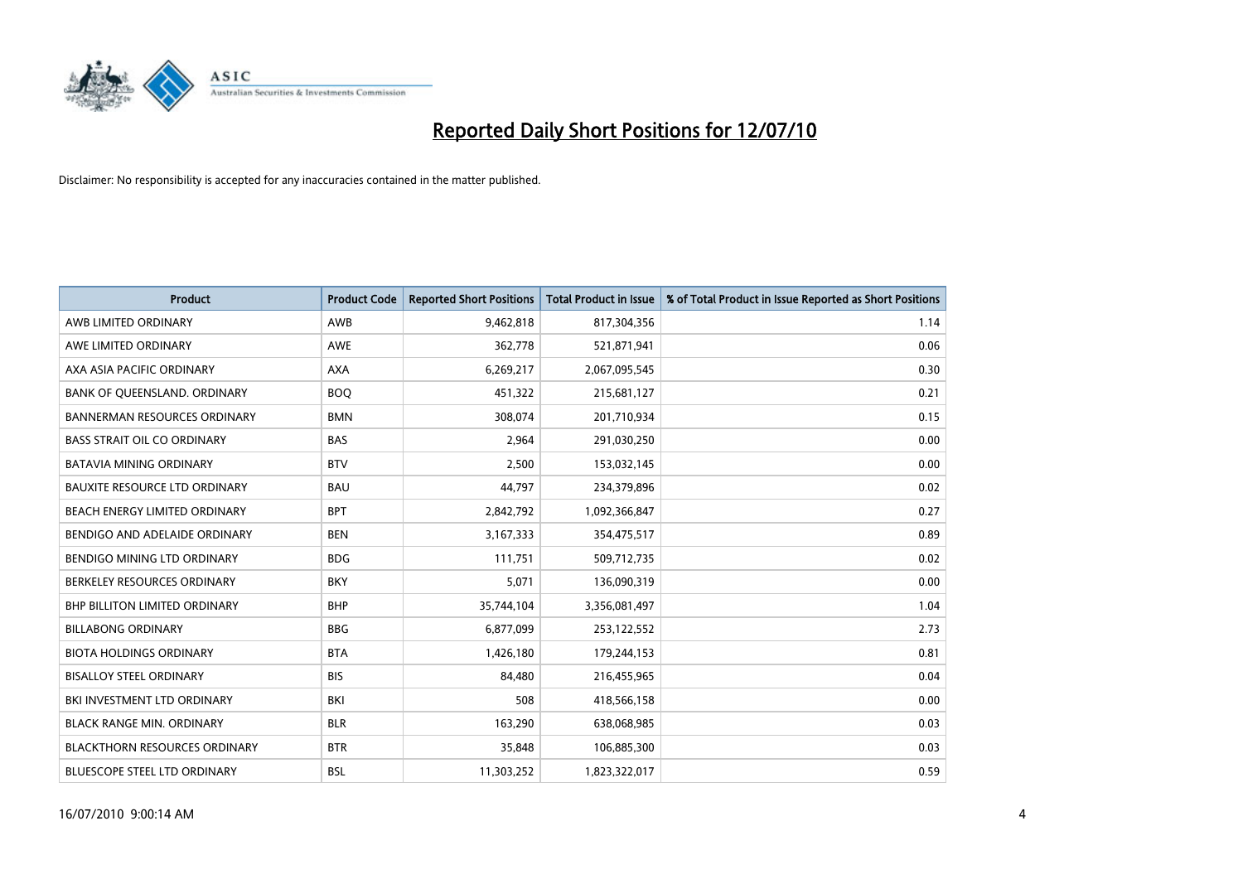

| <b>Product</b>                       | <b>Product Code</b> | <b>Reported Short Positions</b> | <b>Total Product in Issue</b> | % of Total Product in Issue Reported as Short Positions |
|--------------------------------------|---------------------|---------------------------------|-------------------------------|---------------------------------------------------------|
| AWB LIMITED ORDINARY                 | <b>AWB</b>          | 9,462,818                       | 817,304,356                   | 1.14                                                    |
| AWE LIMITED ORDINARY                 | <b>AWE</b>          | 362,778                         | 521,871,941                   | 0.06                                                    |
| AXA ASIA PACIFIC ORDINARY            | <b>AXA</b>          | 6,269,217                       | 2,067,095,545                 | 0.30                                                    |
| BANK OF QUEENSLAND. ORDINARY         | <b>BOO</b>          | 451,322                         | 215,681,127                   | 0.21                                                    |
| <b>BANNERMAN RESOURCES ORDINARY</b>  | <b>BMN</b>          | 308.074                         | 201,710,934                   | 0.15                                                    |
| <b>BASS STRAIT OIL CO ORDINARY</b>   | <b>BAS</b>          | 2,964                           | 291,030,250                   | 0.00                                                    |
| <b>BATAVIA MINING ORDINARY</b>       | <b>BTV</b>          | 2.500                           | 153,032,145                   | 0.00                                                    |
| <b>BAUXITE RESOURCE LTD ORDINARY</b> | <b>BAU</b>          | 44,797                          | 234,379,896                   | 0.02                                                    |
| BEACH ENERGY LIMITED ORDINARY        | <b>BPT</b>          | 2,842,792                       | 1,092,366,847                 | 0.27                                                    |
| BENDIGO AND ADELAIDE ORDINARY        | <b>BEN</b>          | 3,167,333                       | 354,475,517                   | 0.89                                                    |
| BENDIGO MINING LTD ORDINARY          | <b>BDG</b>          | 111,751                         | 509,712,735                   | 0.02                                                    |
| BERKELEY RESOURCES ORDINARY          | <b>BKY</b>          | 5.071                           | 136,090,319                   | 0.00                                                    |
| <b>BHP BILLITON LIMITED ORDINARY</b> | <b>BHP</b>          | 35,744,104                      | 3,356,081,497                 | 1.04                                                    |
| <b>BILLABONG ORDINARY</b>            | <b>BBG</b>          | 6,877,099                       | 253,122,552                   | 2.73                                                    |
| <b>BIOTA HOLDINGS ORDINARY</b>       | <b>BTA</b>          | 1,426,180                       | 179,244,153                   | 0.81                                                    |
| <b>BISALLOY STEEL ORDINARY</b>       | <b>BIS</b>          | 84,480                          | 216,455,965                   | 0.04                                                    |
| BKI INVESTMENT LTD ORDINARY          | BKI                 | 508                             | 418,566,158                   | 0.00                                                    |
| <b>BLACK RANGE MIN. ORDINARY</b>     | <b>BLR</b>          | 163,290                         | 638,068,985                   | 0.03                                                    |
| <b>BLACKTHORN RESOURCES ORDINARY</b> | <b>BTR</b>          | 35,848                          | 106,885,300                   | 0.03                                                    |
| <b>BLUESCOPE STEEL LTD ORDINARY</b>  | <b>BSL</b>          | 11,303,252                      | 1,823,322,017                 | 0.59                                                    |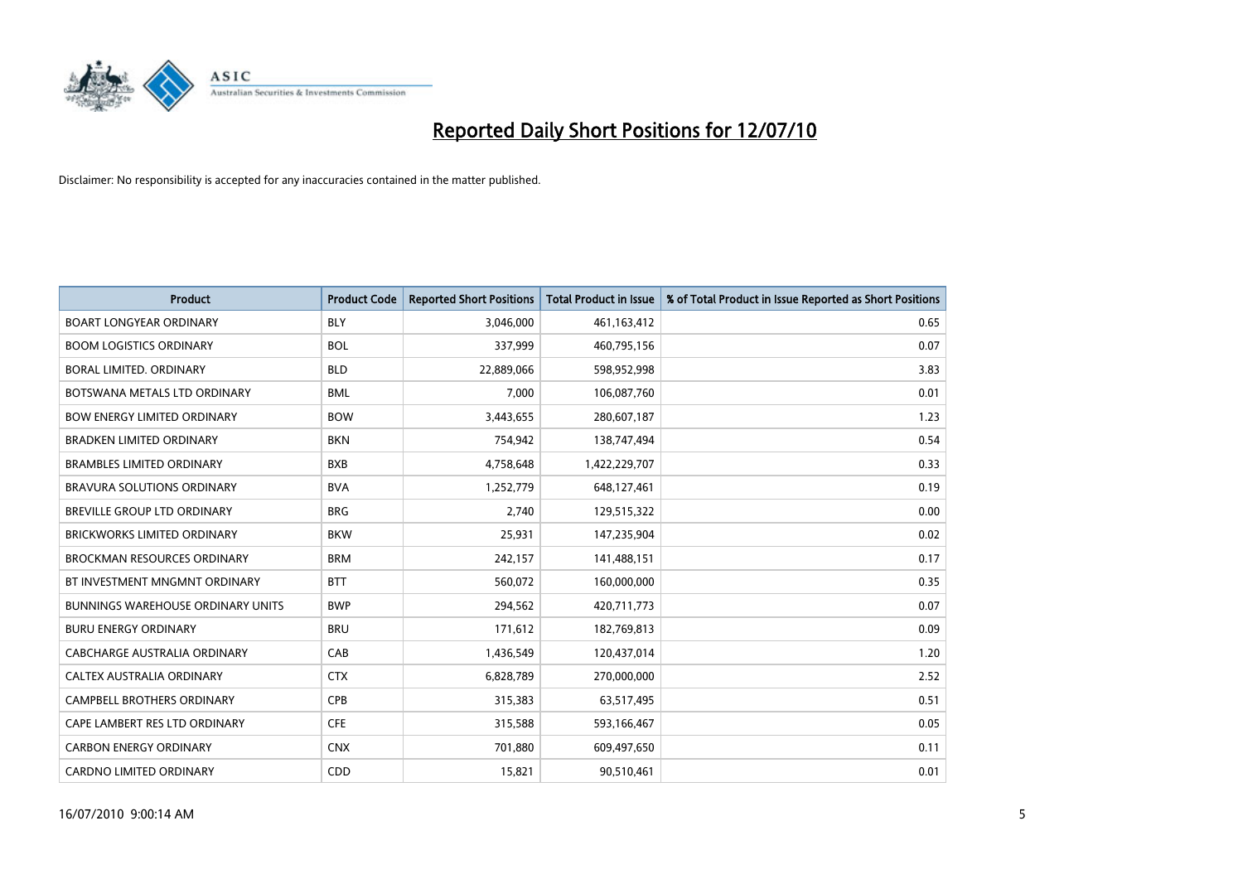

| <b>Product</b>                           | <b>Product Code</b> | <b>Reported Short Positions</b> | <b>Total Product in Issue</b> | % of Total Product in Issue Reported as Short Positions |
|------------------------------------------|---------------------|---------------------------------|-------------------------------|---------------------------------------------------------|
| <b>BOART LONGYEAR ORDINARY</b>           | <b>BLY</b>          | 3,046,000                       | 461,163,412                   | 0.65                                                    |
| <b>BOOM LOGISTICS ORDINARY</b>           | <b>BOL</b>          | 337,999                         | 460,795,156                   | 0.07                                                    |
| BORAL LIMITED, ORDINARY                  | <b>BLD</b>          | 22,889,066                      | 598,952,998                   | 3.83                                                    |
| BOTSWANA METALS LTD ORDINARY             | <b>BML</b>          | 7,000                           | 106,087,760                   | 0.01                                                    |
| <b>BOW ENERGY LIMITED ORDINARY</b>       | <b>BOW</b>          | 3,443,655                       | 280,607,187                   | 1.23                                                    |
| <b>BRADKEN LIMITED ORDINARY</b>          | <b>BKN</b>          | 754,942                         | 138,747,494                   | 0.54                                                    |
| <b>BRAMBLES LIMITED ORDINARY</b>         | <b>BXB</b>          | 4,758,648                       | 1,422,229,707                 | 0.33                                                    |
| BRAVURA SOLUTIONS ORDINARY               | <b>BVA</b>          | 1,252,779                       | 648,127,461                   | 0.19                                                    |
| <b>BREVILLE GROUP LTD ORDINARY</b>       | <b>BRG</b>          | 2.740                           | 129,515,322                   | 0.00                                                    |
| <b>BRICKWORKS LIMITED ORDINARY</b>       | <b>BKW</b>          | 25,931                          | 147,235,904                   | 0.02                                                    |
| <b>BROCKMAN RESOURCES ORDINARY</b>       | <b>BRM</b>          | 242,157                         | 141,488,151                   | 0.17                                                    |
| BT INVESTMENT MNGMNT ORDINARY            | <b>BTT</b>          | 560,072                         | 160,000,000                   | 0.35                                                    |
| <b>BUNNINGS WAREHOUSE ORDINARY UNITS</b> | <b>BWP</b>          | 294,562                         | 420,711,773                   | 0.07                                                    |
| <b>BURU ENERGY ORDINARY</b>              | <b>BRU</b>          | 171,612                         | 182,769,813                   | 0.09                                                    |
| <b>CABCHARGE AUSTRALIA ORDINARY</b>      | CAB                 | 1,436,549                       | 120,437,014                   | 1.20                                                    |
| CALTEX AUSTRALIA ORDINARY                | <b>CTX</b>          | 6,828,789                       | 270,000,000                   | 2.52                                                    |
| CAMPBELL BROTHERS ORDINARY               | CPB                 | 315,383                         | 63,517,495                    | 0.51                                                    |
| CAPE LAMBERT RES LTD ORDINARY            | <b>CFE</b>          | 315,588                         | 593,166,467                   | 0.05                                                    |
| <b>CARBON ENERGY ORDINARY</b>            | <b>CNX</b>          | 701,880                         | 609,497,650                   | 0.11                                                    |
| CARDNO LIMITED ORDINARY                  | CDD                 | 15,821                          | 90,510,461                    | 0.01                                                    |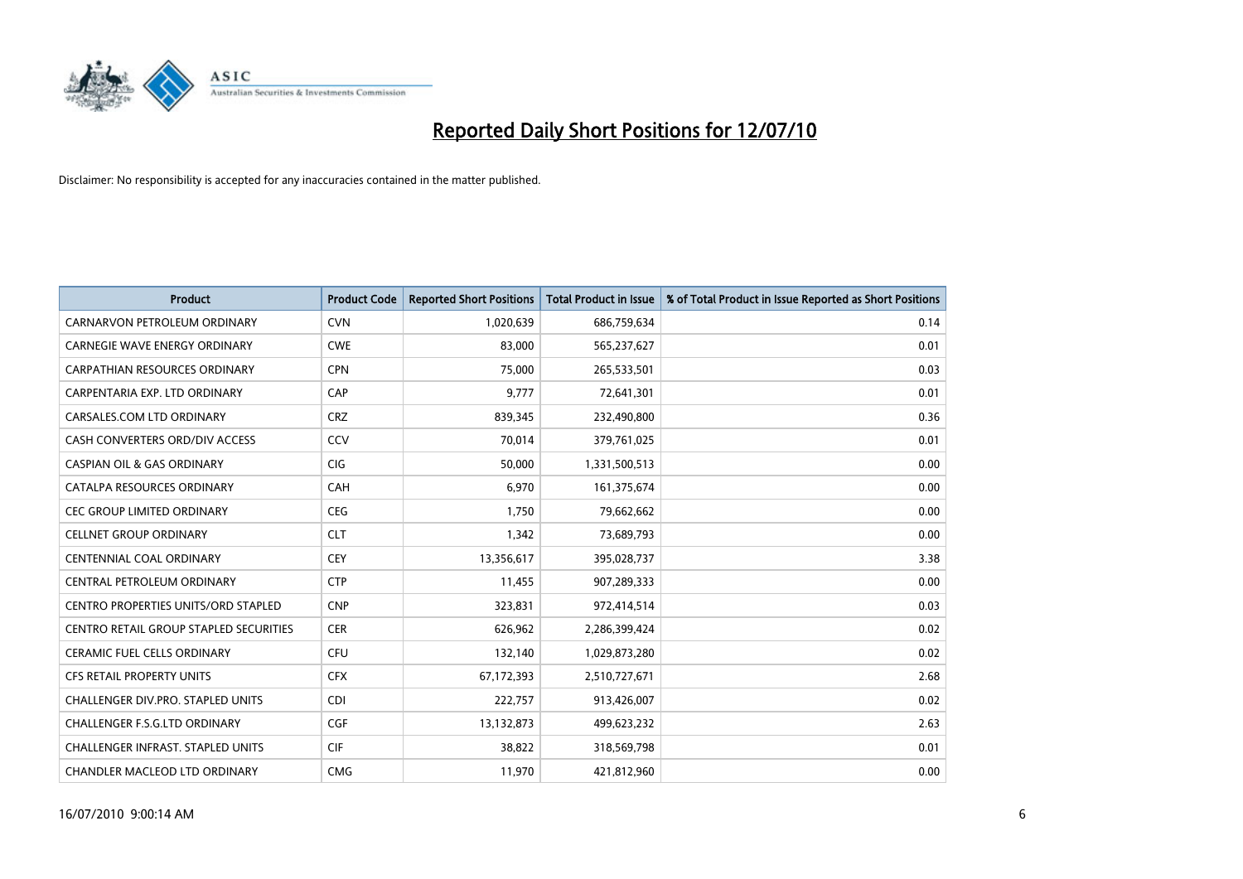

| <b>Product</b>                             | <b>Product Code</b> | <b>Reported Short Positions</b> | <b>Total Product in Issue</b> | % of Total Product in Issue Reported as Short Positions |
|--------------------------------------------|---------------------|---------------------------------|-------------------------------|---------------------------------------------------------|
| CARNARVON PETROLEUM ORDINARY               | <b>CVN</b>          | 1,020,639                       | 686,759,634                   | 0.14                                                    |
| CARNEGIE WAVE ENERGY ORDINARY              | <b>CWE</b>          | 83,000                          | 565,237,627                   | 0.01                                                    |
| <b>CARPATHIAN RESOURCES ORDINARY</b>       | <b>CPN</b>          | 75,000                          | 265,533,501                   | 0.03                                                    |
| CARPENTARIA EXP. LTD ORDINARY              | CAP                 | 9,777                           | 72,641,301                    | 0.01                                                    |
| CARSALES.COM LTD ORDINARY                  | <b>CRZ</b>          | 839,345                         | 232,490,800                   | 0.36                                                    |
| CASH CONVERTERS ORD/DIV ACCESS             | CCV                 | 70,014                          | 379,761,025                   | 0.01                                                    |
| <b>CASPIAN OIL &amp; GAS ORDINARY</b>      | <b>CIG</b>          | 50,000                          | 1,331,500,513                 | 0.00                                                    |
| CATALPA RESOURCES ORDINARY                 | <b>CAH</b>          | 6,970                           | 161,375,674                   | 0.00                                                    |
| CEC GROUP LIMITED ORDINARY                 | <b>CEG</b>          | 1.750                           | 79,662,662                    | 0.00                                                    |
| <b>CELLNET GROUP ORDINARY</b>              | <b>CLT</b>          | 1,342                           | 73,689,793                    | 0.00                                                    |
| CENTENNIAL COAL ORDINARY                   | <b>CEY</b>          | 13,356,617                      | 395,028,737                   | 3.38                                                    |
| CENTRAL PETROLEUM ORDINARY                 | <b>CTP</b>          | 11,455                          | 907,289,333                   | 0.00                                                    |
| <b>CENTRO PROPERTIES UNITS/ORD STAPLED</b> | <b>CNP</b>          | 323,831                         | 972,414,514                   | 0.03                                                    |
| CENTRO RETAIL GROUP STAPLED SECURITIES     | <b>CER</b>          | 626,962                         | 2,286,399,424                 | 0.02                                                    |
| <b>CERAMIC FUEL CELLS ORDINARY</b>         | <b>CFU</b>          | 132,140                         | 1,029,873,280                 | 0.02                                                    |
| CFS RETAIL PROPERTY UNITS                  | <b>CFX</b>          | 67,172,393                      | 2,510,727,671                 | 2.68                                                    |
| CHALLENGER DIV.PRO. STAPLED UNITS          | <b>CDI</b>          | 222,757                         | 913,426,007                   | 0.02                                                    |
| CHALLENGER F.S.G.LTD ORDINARY              | <b>CGF</b>          | 13,132,873                      | 499,623,232                   | 2.63                                                    |
| <b>CHALLENGER INFRAST, STAPLED UNITS</b>   | <b>CIF</b>          | 38,822                          | 318,569,798                   | 0.01                                                    |
| CHANDLER MACLEOD LTD ORDINARY              | <b>CMG</b>          | 11,970                          | 421,812,960                   | 0.00                                                    |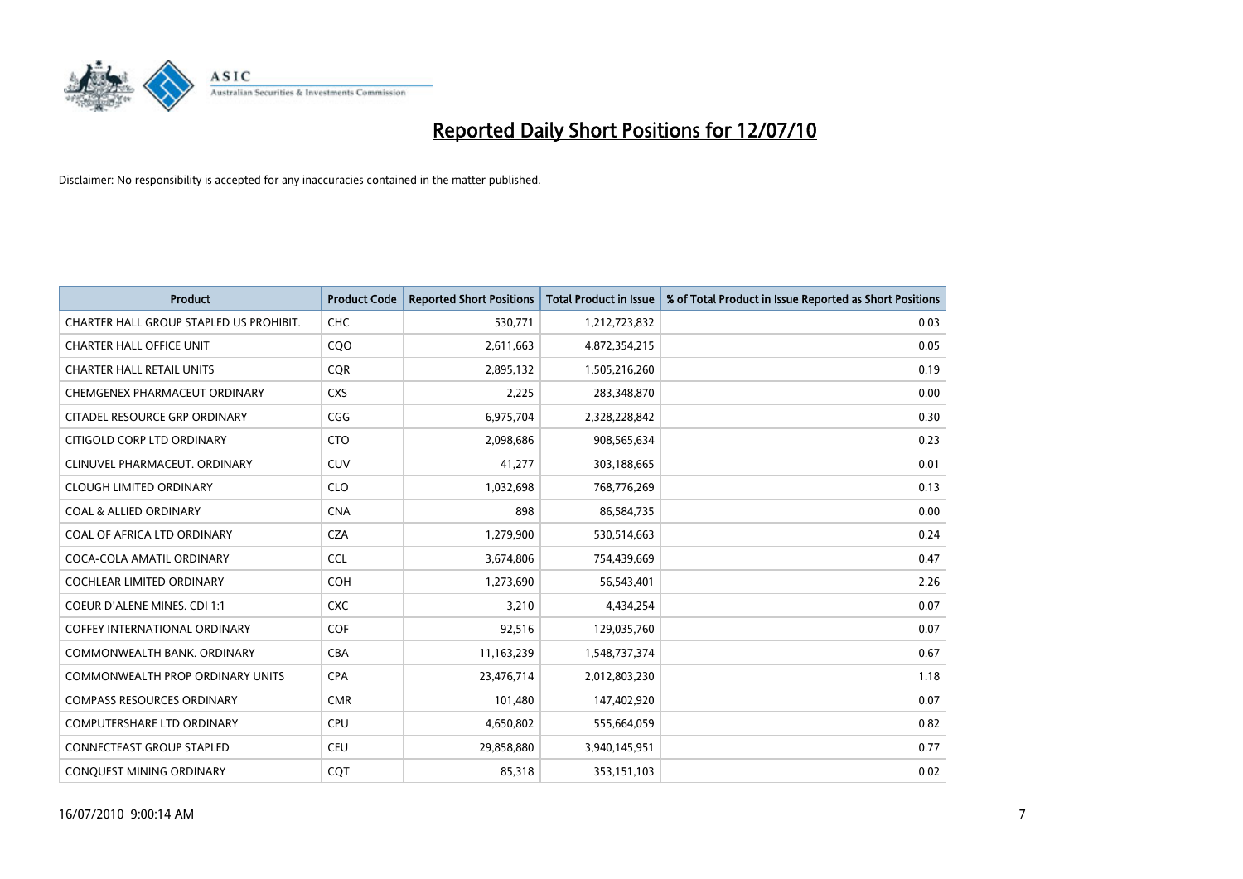

| <b>Product</b>                          | <b>Product Code</b> | <b>Reported Short Positions</b> | Total Product in Issue | % of Total Product in Issue Reported as Short Positions |
|-----------------------------------------|---------------------|---------------------------------|------------------------|---------------------------------------------------------|
| CHARTER HALL GROUP STAPLED US PROHIBIT. | <b>CHC</b>          | 530,771                         | 1,212,723,832          | 0.03                                                    |
| <b>CHARTER HALL OFFICE UNIT</b>         | CQO                 | 2,611,663                       | 4,872,354,215          | 0.05                                                    |
| <b>CHARTER HALL RETAIL UNITS</b>        | <b>COR</b>          | 2,895,132                       | 1,505,216,260          | 0.19                                                    |
| CHEMGENEX PHARMACEUT ORDINARY           | <b>CXS</b>          | 2,225                           | 283,348,870            | 0.00                                                    |
| CITADEL RESOURCE GRP ORDINARY           | CGG                 | 6,975,704                       | 2,328,228,842          | 0.30                                                    |
| CITIGOLD CORP LTD ORDINARY              | <b>CTO</b>          | 2,098,686                       | 908,565,634            | 0.23                                                    |
| CLINUVEL PHARMACEUT. ORDINARY           | <b>CUV</b>          | 41,277                          | 303,188,665            | 0.01                                                    |
| <b>CLOUGH LIMITED ORDINARY</b>          | <b>CLO</b>          | 1,032,698                       | 768,776,269            | 0.13                                                    |
| <b>COAL &amp; ALLIED ORDINARY</b>       | <b>CNA</b>          | 898                             | 86,584,735             | 0.00                                                    |
| COAL OF AFRICA LTD ORDINARY             | <b>CZA</b>          | 1,279,900                       | 530,514,663            | 0.24                                                    |
| COCA-COLA AMATIL ORDINARY               | <b>CCL</b>          | 3,674,806                       | 754,439,669            | 0.47                                                    |
| COCHLEAR LIMITED ORDINARY               | <b>COH</b>          | 1,273,690                       | 56,543,401             | 2.26                                                    |
| <b>COEUR D'ALENE MINES. CDI 1:1</b>     | <b>CXC</b>          | 3,210                           | 4,434,254              | 0.07                                                    |
| <b>COFFEY INTERNATIONAL ORDINARY</b>    | COF                 | 92,516                          | 129,035,760            | 0.07                                                    |
| COMMONWEALTH BANK, ORDINARY             | <b>CBA</b>          | 11,163,239                      | 1,548,737,374          | 0.67                                                    |
| <b>COMMONWEALTH PROP ORDINARY UNITS</b> | <b>CPA</b>          | 23,476,714                      | 2,012,803,230          | 1.18                                                    |
| <b>COMPASS RESOURCES ORDINARY</b>       | <b>CMR</b>          | 101,480                         | 147,402,920            | 0.07                                                    |
| <b>COMPUTERSHARE LTD ORDINARY</b>       | <b>CPU</b>          | 4,650,802                       | 555,664,059            | 0.82                                                    |
| <b>CONNECTEAST GROUP STAPLED</b>        | <b>CEU</b>          | 29,858,880                      | 3,940,145,951          | 0.77                                                    |
| CONQUEST MINING ORDINARY                | CQT                 | 85,318                          | 353,151,103            | 0.02                                                    |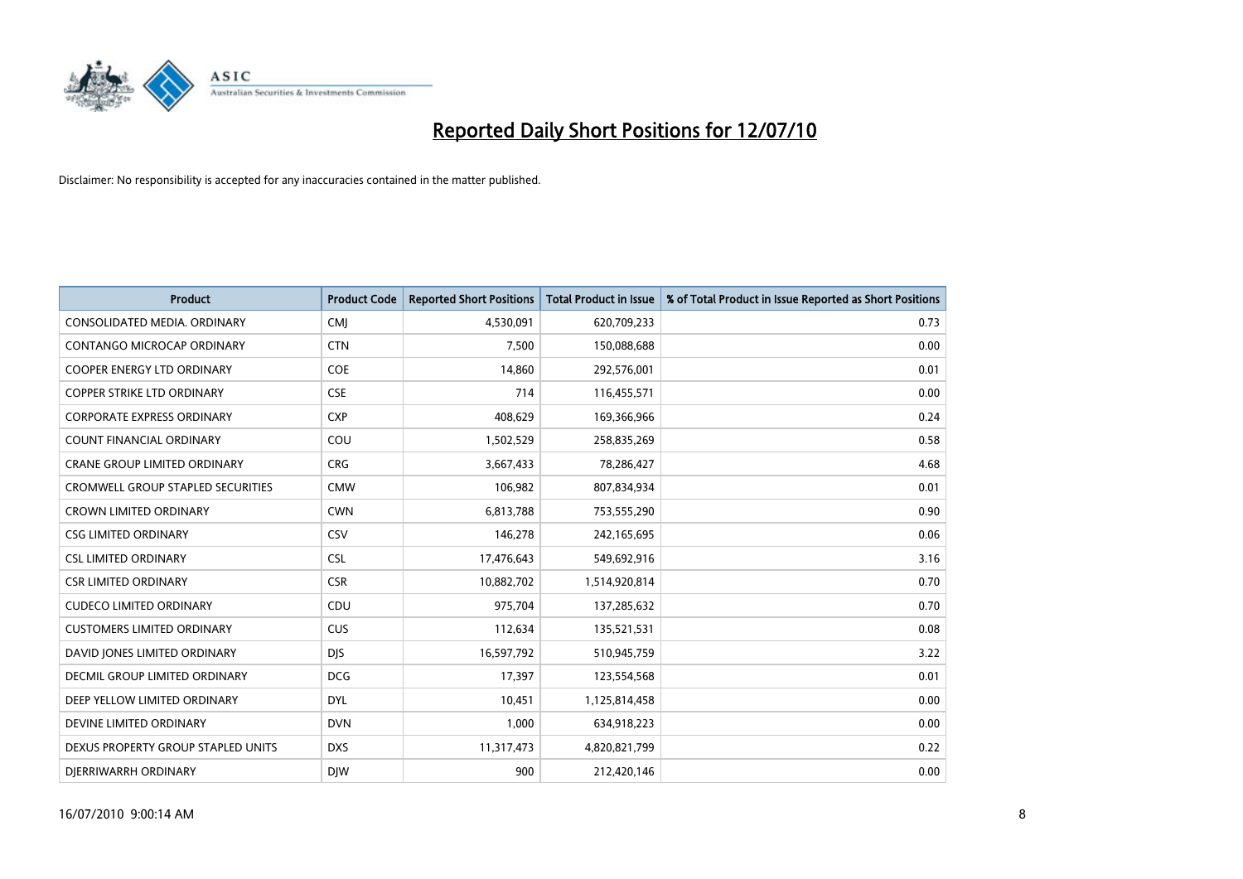

| <b>Product</b>                       | <b>Product Code</b> | <b>Reported Short Positions</b> | Total Product in Issue | % of Total Product in Issue Reported as Short Positions |
|--------------------------------------|---------------------|---------------------------------|------------------------|---------------------------------------------------------|
| CONSOLIDATED MEDIA, ORDINARY         | <b>CMJ</b>          | 4,530,091                       | 620,709,233            | 0.73                                                    |
| CONTANGO MICROCAP ORDINARY           | <b>CTN</b>          | 7,500                           | 150,088,688            | 0.00                                                    |
| <b>COOPER ENERGY LTD ORDINARY</b>    | <b>COE</b>          | 14,860                          | 292,576,001            | 0.01                                                    |
| COPPER STRIKE LTD ORDINARY           | <b>CSE</b>          | 714                             | 116,455,571            | 0.00                                                    |
| <b>CORPORATE EXPRESS ORDINARY</b>    | <b>CXP</b>          | 408,629                         | 169,366,966            | 0.24                                                    |
| <b>COUNT FINANCIAL ORDINARY</b>      | COU                 | 1,502,529                       | 258,835,269            | 0.58                                                    |
| <b>CRANE GROUP LIMITED ORDINARY</b>  | <b>CRG</b>          | 3,667,433                       | 78,286,427             | 4.68                                                    |
| CROMWELL GROUP STAPLED SECURITIES    | <b>CMW</b>          | 106,982                         | 807,834,934            | 0.01                                                    |
| <b>CROWN LIMITED ORDINARY</b>        | <b>CWN</b>          | 6,813,788                       | 753,555,290            | 0.90                                                    |
| <b>CSG LIMITED ORDINARY</b>          | CSV                 | 146,278                         | 242,165,695            | 0.06                                                    |
| <b>CSL LIMITED ORDINARY</b>          | <b>CSL</b>          | 17,476,643                      | 549,692,916            | 3.16                                                    |
| <b>CSR LIMITED ORDINARY</b>          | <b>CSR</b>          | 10,882,702                      | 1,514,920,814          | 0.70                                                    |
| <b>CUDECO LIMITED ORDINARY</b>       | CDU                 | 975,704                         | 137,285,632            | 0.70                                                    |
| <b>CUSTOMERS LIMITED ORDINARY</b>    | CUS                 | 112,634                         | 135,521,531            | 0.08                                                    |
| DAVID JONES LIMITED ORDINARY         | <b>DJS</b>          | 16,597,792                      | 510,945,759            | 3.22                                                    |
| <b>DECMIL GROUP LIMITED ORDINARY</b> | <b>DCG</b>          | 17,397                          | 123,554,568            | 0.01                                                    |
| DEEP YELLOW LIMITED ORDINARY         | <b>DYL</b>          | 10,451                          | 1,125,814,458          | 0.00                                                    |
| DEVINE LIMITED ORDINARY              | <b>DVN</b>          | 1,000                           | 634,918,223            | 0.00                                                    |
| DEXUS PROPERTY GROUP STAPLED UNITS   | <b>DXS</b>          | 11,317,473                      | 4,820,821,799          | 0.22                                                    |
| DIERRIWARRH ORDINARY                 | <b>DIW</b>          | 900                             | 212,420,146            | 0.00                                                    |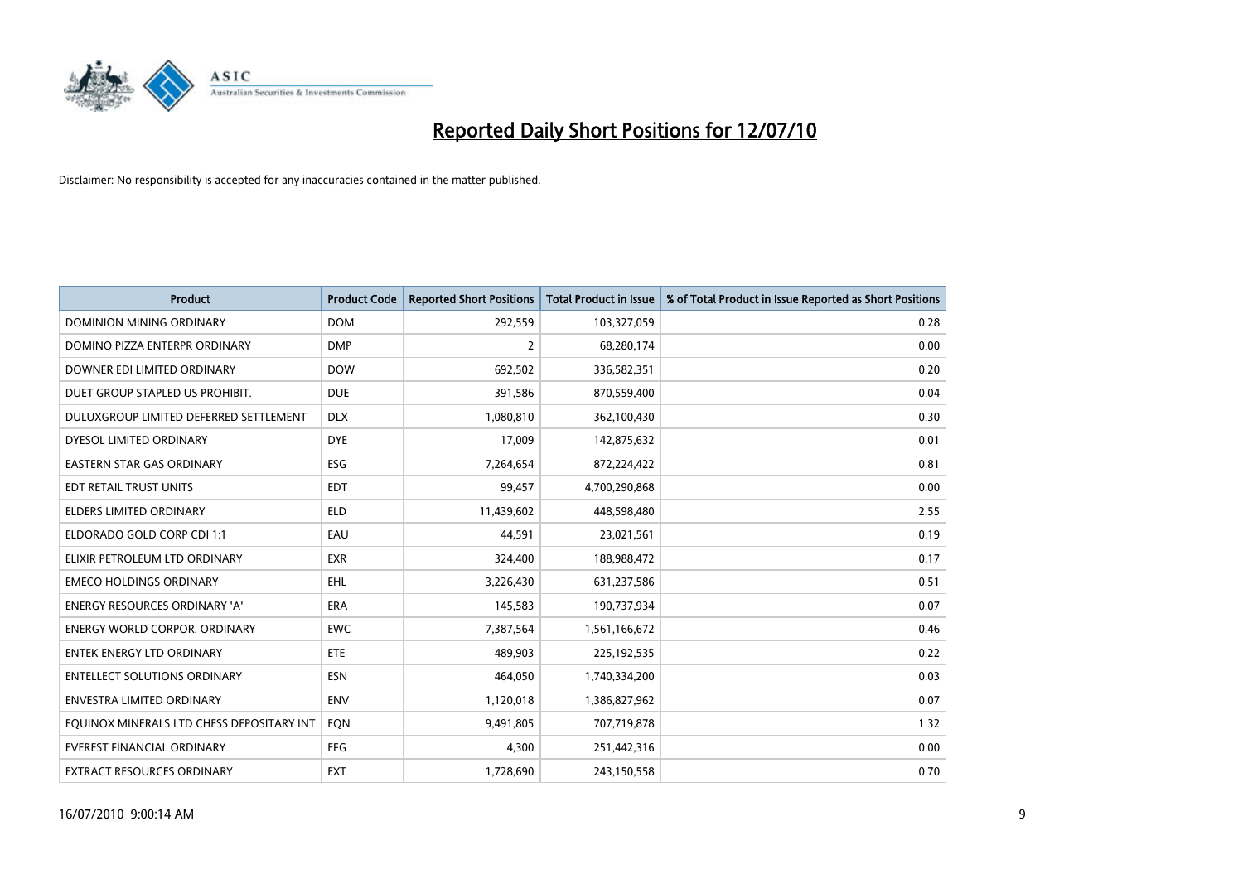

| <b>Product</b>                            | <b>Product Code</b> | <b>Reported Short Positions</b> | Total Product in Issue | % of Total Product in Issue Reported as Short Positions |
|-------------------------------------------|---------------------|---------------------------------|------------------------|---------------------------------------------------------|
| <b>DOMINION MINING ORDINARY</b>           | <b>DOM</b>          | 292,559                         | 103,327,059            | 0.28                                                    |
| DOMINO PIZZA ENTERPR ORDINARY             | <b>DMP</b>          | 2                               | 68,280,174             | 0.00                                                    |
| DOWNER EDI LIMITED ORDINARY               | <b>DOW</b>          | 692,502                         | 336,582,351            | 0.20                                                    |
| DUET GROUP STAPLED US PROHIBIT.           | <b>DUE</b>          | 391,586                         | 870,559,400            | 0.04                                                    |
| DULUXGROUP LIMITED DEFERRED SETTLEMENT    | <b>DLX</b>          | 1,080,810                       | 362,100,430            | 0.30                                                    |
| DYESOL LIMITED ORDINARY                   | <b>DYE</b>          | 17,009                          | 142,875,632            | 0.01                                                    |
| <b>EASTERN STAR GAS ORDINARY</b>          | ESG                 | 7,264,654                       | 872,224,422            | 0.81                                                    |
| EDT RETAIL TRUST UNITS                    | <b>EDT</b>          | 99,457                          | 4,700,290,868          | 0.00                                                    |
| ELDERS LIMITED ORDINARY                   | <b>ELD</b>          | 11,439,602                      | 448,598,480            | 2.55                                                    |
| ELDORADO GOLD CORP CDI 1:1                | EAU                 | 44.591                          | 23,021,561             | 0.19                                                    |
| ELIXIR PETROLEUM LTD ORDINARY             | <b>EXR</b>          | 324,400                         | 188,988,472            | 0.17                                                    |
| <b>EMECO HOLDINGS ORDINARY</b>            | EHL                 | 3,226,430                       | 631,237,586            | 0.51                                                    |
| <b>ENERGY RESOURCES ORDINARY 'A'</b>      | <b>ERA</b>          | 145.583                         | 190,737,934            | 0.07                                                    |
| <b>ENERGY WORLD CORPOR, ORDINARY</b>      | <b>EWC</b>          | 7,387,564                       | 1,561,166,672          | 0.46                                                    |
| <b>ENTEK ENERGY LTD ORDINARY</b>          | <b>ETE</b>          | 489,903                         | 225,192,535            | 0.22                                                    |
| <b>ENTELLECT SOLUTIONS ORDINARY</b>       | <b>ESN</b>          | 464.050                         | 1,740,334,200          | 0.03                                                    |
| <b>ENVESTRA LIMITED ORDINARY</b>          | <b>ENV</b>          | 1,120,018                       | 1,386,827,962          | 0.07                                                    |
| EQUINOX MINERALS LTD CHESS DEPOSITARY INT | EON                 | 9,491,805                       | 707,719,878            | 1.32                                                    |
| <b>EVEREST FINANCIAL ORDINARY</b>         | <b>EFG</b>          | 4,300                           | 251,442,316            | 0.00                                                    |
| <b>EXTRACT RESOURCES ORDINARY</b>         | <b>EXT</b>          | 1,728,690                       | 243,150,558            | 0.70                                                    |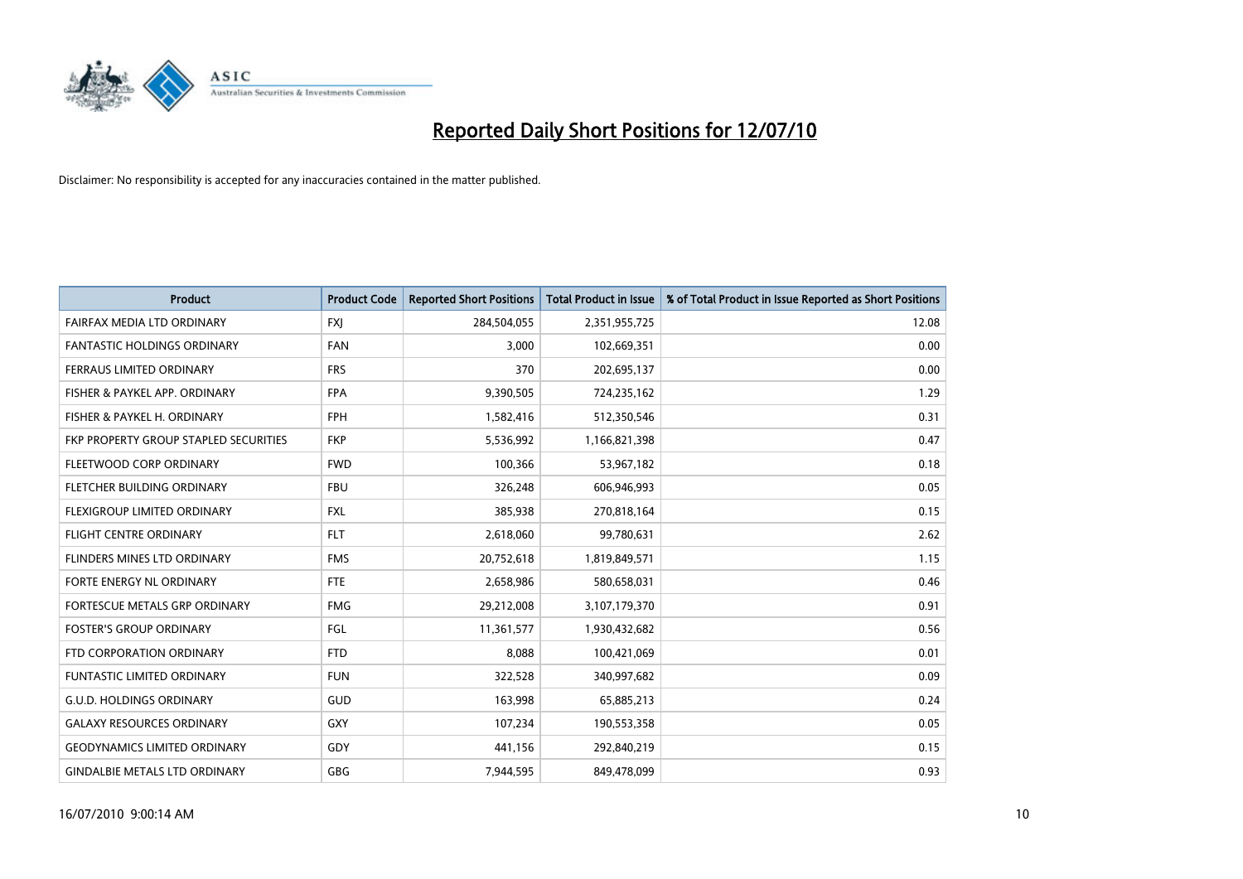

| <b>Product</b>                        | <b>Product Code</b> | <b>Reported Short Positions</b> | <b>Total Product in Issue</b> | % of Total Product in Issue Reported as Short Positions |
|---------------------------------------|---------------------|---------------------------------|-------------------------------|---------------------------------------------------------|
| FAIRFAX MEDIA LTD ORDINARY            | <b>FXJ</b>          | 284,504,055                     | 2,351,955,725                 | 12.08                                                   |
| <b>FANTASTIC HOLDINGS ORDINARY</b>    | <b>FAN</b>          | 3,000                           | 102,669,351                   | 0.00                                                    |
| FERRAUS LIMITED ORDINARY              | <b>FRS</b>          | 370                             | 202,695,137                   | 0.00                                                    |
| FISHER & PAYKEL APP. ORDINARY         | <b>FPA</b>          | 9,390,505                       | 724,235,162                   | 1.29                                                    |
| FISHER & PAYKEL H. ORDINARY           | <b>FPH</b>          | 1,582,416                       | 512,350,546                   | 0.31                                                    |
| FKP PROPERTY GROUP STAPLED SECURITIES | <b>FKP</b>          | 5,536,992                       | 1,166,821,398                 | 0.47                                                    |
| FLEETWOOD CORP ORDINARY               | <b>FWD</b>          | 100,366                         | 53,967,182                    | 0.18                                                    |
| FLETCHER BUILDING ORDINARY            | <b>FBU</b>          | 326,248                         | 606,946,993                   | 0.05                                                    |
| FLEXIGROUP LIMITED ORDINARY           | <b>FXL</b>          | 385,938                         | 270,818,164                   | 0.15                                                    |
| <b>FLIGHT CENTRE ORDINARY</b>         | <b>FLT</b>          | 2,618,060                       | 99,780,631                    | 2.62                                                    |
| FLINDERS MINES LTD ORDINARY           | <b>FMS</b>          | 20,752,618                      | 1,819,849,571                 | 1.15                                                    |
| FORTE ENERGY NL ORDINARY              | <b>FTE</b>          | 2,658,986                       | 580,658,031                   | 0.46                                                    |
| FORTESCUE METALS GRP ORDINARY         | <b>FMG</b>          | 29,212,008                      | 3,107,179,370                 | 0.91                                                    |
| <b>FOSTER'S GROUP ORDINARY</b>        | FGL                 | 11,361,577                      | 1,930,432,682                 | 0.56                                                    |
| FTD CORPORATION ORDINARY              | <b>FTD</b>          | 8,088                           | 100,421,069                   | 0.01                                                    |
| <b>FUNTASTIC LIMITED ORDINARY</b>     | <b>FUN</b>          | 322,528                         | 340,997,682                   | 0.09                                                    |
| <b>G.U.D. HOLDINGS ORDINARY</b>       | GUD                 | 163,998                         | 65,885,213                    | 0.24                                                    |
| <b>GALAXY RESOURCES ORDINARY</b>      | <b>GXY</b>          | 107,234                         | 190,553,358                   | 0.05                                                    |
| <b>GEODYNAMICS LIMITED ORDINARY</b>   | GDY                 | 441,156                         | 292,840,219                   | 0.15                                                    |
| <b>GINDALBIE METALS LTD ORDINARY</b>  | <b>GBG</b>          | 7,944,595                       | 849,478,099                   | 0.93                                                    |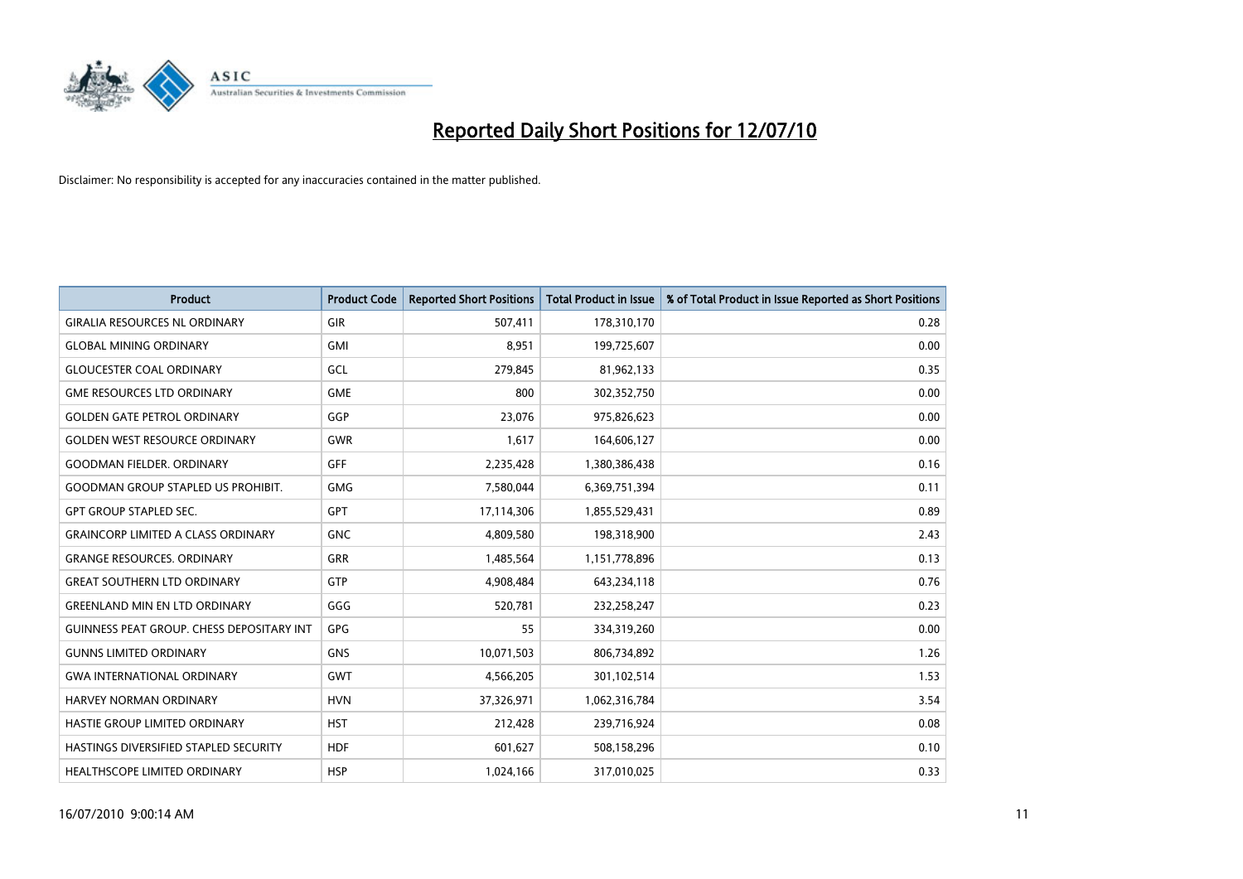

| <b>Product</b>                                   | <b>Product Code</b> | <b>Reported Short Positions</b> | Total Product in Issue | % of Total Product in Issue Reported as Short Positions |
|--------------------------------------------------|---------------------|---------------------------------|------------------------|---------------------------------------------------------|
| <b>GIRALIA RESOURCES NL ORDINARY</b>             | GIR                 | 507,411                         | 178,310,170            | 0.28                                                    |
| <b>GLOBAL MINING ORDINARY</b>                    | <b>GMI</b>          | 8,951                           | 199,725,607            | 0.00                                                    |
| <b>GLOUCESTER COAL ORDINARY</b>                  | GCL                 | 279,845                         | 81,962,133             | 0.35                                                    |
| <b>GME RESOURCES LTD ORDINARY</b>                | <b>GME</b>          | 800                             | 302,352,750            | 0.00                                                    |
| <b>GOLDEN GATE PETROL ORDINARY</b>               | GGP                 | 23,076                          | 975,826,623            | 0.00                                                    |
| <b>GOLDEN WEST RESOURCE ORDINARY</b>             | <b>GWR</b>          | 1,617                           | 164,606,127            | 0.00                                                    |
| <b>GOODMAN FIELDER, ORDINARY</b>                 | <b>GFF</b>          | 2,235,428                       | 1,380,386,438          | 0.16                                                    |
| <b>GOODMAN GROUP STAPLED US PROHIBIT.</b>        | <b>GMG</b>          | 7,580,044                       | 6,369,751,394          | 0.11                                                    |
| <b>GPT GROUP STAPLED SEC.</b>                    | <b>GPT</b>          | 17,114,306                      | 1,855,529,431          | 0.89                                                    |
| <b>GRAINCORP LIMITED A CLASS ORDINARY</b>        | <b>GNC</b>          | 4,809,580                       | 198,318,900            | 2.43                                                    |
| <b>GRANGE RESOURCES. ORDINARY</b>                | <b>GRR</b>          | 1,485,564                       | 1,151,778,896          | 0.13                                                    |
| <b>GREAT SOUTHERN LTD ORDINARY</b>               | GTP                 | 4,908,484                       | 643,234,118            | 0.76                                                    |
| <b>GREENLAND MIN EN LTD ORDINARY</b>             | GGG                 | 520,781                         | 232,258,247            | 0.23                                                    |
| <b>GUINNESS PEAT GROUP. CHESS DEPOSITARY INT</b> | <b>GPG</b>          | 55                              | 334,319,260            | 0.00                                                    |
| <b>GUNNS LIMITED ORDINARY</b>                    | <b>GNS</b>          | 10,071,503                      | 806,734,892            | 1.26                                                    |
| <b>GWA INTERNATIONAL ORDINARY</b>                | <b>GWT</b>          | 4,566,205                       | 301,102,514            | 1.53                                                    |
| HARVEY NORMAN ORDINARY                           | <b>HVN</b>          | 37,326,971                      | 1,062,316,784          | 3.54                                                    |
| HASTIE GROUP LIMITED ORDINARY                    | <b>HST</b>          | 212,428                         | 239,716,924            | 0.08                                                    |
| HASTINGS DIVERSIFIED STAPLED SECURITY            | <b>HDF</b>          | 601,627                         | 508,158,296            | 0.10                                                    |
| <b>HEALTHSCOPE LIMITED ORDINARY</b>              | <b>HSP</b>          | 1,024,166                       | 317,010,025            | 0.33                                                    |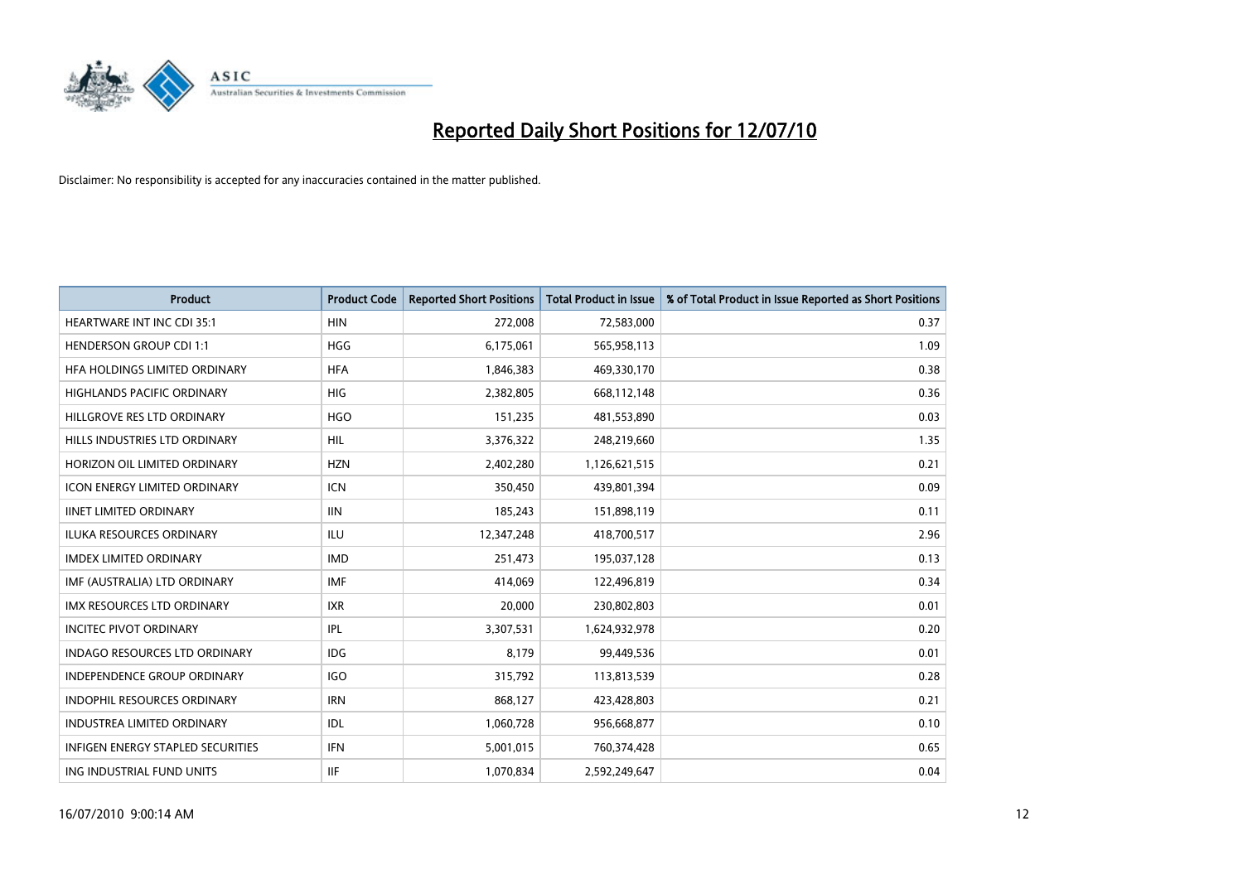

| <b>Product</b>                           | <b>Product Code</b> | <b>Reported Short Positions</b> | <b>Total Product in Issue</b> | % of Total Product in Issue Reported as Short Positions |
|------------------------------------------|---------------------|---------------------------------|-------------------------------|---------------------------------------------------------|
| <b>HEARTWARE INT INC CDI 35:1</b>        | <b>HIN</b>          | 272,008                         | 72,583,000                    | 0.37                                                    |
| <b>HENDERSON GROUP CDI 1:1</b>           | <b>HGG</b>          | 6,175,061                       | 565,958,113                   | 1.09                                                    |
| HFA HOLDINGS LIMITED ORDINARY            | <b>HFA</b>          | 1,846,383                       | 469,330,170                   | 0.38                                                    |
| HIGHLANDS PACIFIC ORDINARY               | <b>HIG</b>          | 2,382,805                       | 668,112,148                   | 0.36                                                    |
| HILLGROVE RES LTD ORDINARY               | <b>HGO</b>          | 151,235                         | 481,553,890                   | 0.03                                                    |
| HILLS INDUSTRIES LTD ORDINARY            | <b>HIL</b>          | 3,376,322                       | 248,219,660                   | 1.35                                                    |
| HORIZON OIL LIMITED ORDINARY             | <b>HZN</b>          | 2,402,280                       | 1,126,621,515                 | 0.21                                                    |
| ICON ENERGY LIMITED ORDINARY             | <b>ICN</b>          | 350,450                         | 439,801,394                   | 0.09                                                    |
| <b>IINET LIMITED ORDINARY</b>            | <b>IIN</b>          | 185,243                         | 151,898,119                   | 0.11                                                    |
| <b>ILUKA RESOURCES ORDINARY</b>          | <b>ILU</b>          | 12,347,248                      | 418,700,517                   | 2.96                                                    |
| <b>IMDEX LIMITED ORDINARY</b>            | <b>IMD</b>          | 251,473                         | 195,037,128                   | 0.13                                                    |
| IMF (AUSTRALIA) LTD ORDINARY             | <b>IMF</b>          | 414,069                         | 122,496,819                   | 0.34                                                    |
| IMX RESOURCES LTD ORDINARY               | <b>IXR</b>          | 20,000                          | 230,802,803                   | 0.01                                                    |
| <b>INCITEC PIVOT ORDINARY</b>            | <b>IPL</b>          | 3,307,531                       | 1,624,932,978                 | 0.20                                                    |
| <b>INDAGO RESOURCES LTD ORDINARY</b>     | <b>IDG</b>          | 8,179                           | 99,449,536                    | 0.01                                                    |
| <b>INDEPENDENCE GROUP ORDINARY</b>       | <b>IGO</b>          | 315,792                         | 113,813,539                   | 0.28                                                    |
| INDOPHIL RESOURCES ORDINARY              | <b>IRN</b>          | 868,127                         | 423,428,803                   | 0.21                                                    |
| <b>INDUSTREA LIMITED ORDINARY</b>        | IDL                 | 1,060,728                       | 956,668,877                   | 0.10                                                    |
| <b>INFIGEN ENERGY STAPLED SECURITIES</b> | <b>IFN</b>          | 5,001,015                       | 760,374,428                   | 0.65                                                    |
| ING INDUSTRIAL FUND UNITS                | <b>IIF</b>          | 1,070,834                       | 2,592,249,647                 | 0.04                                                    |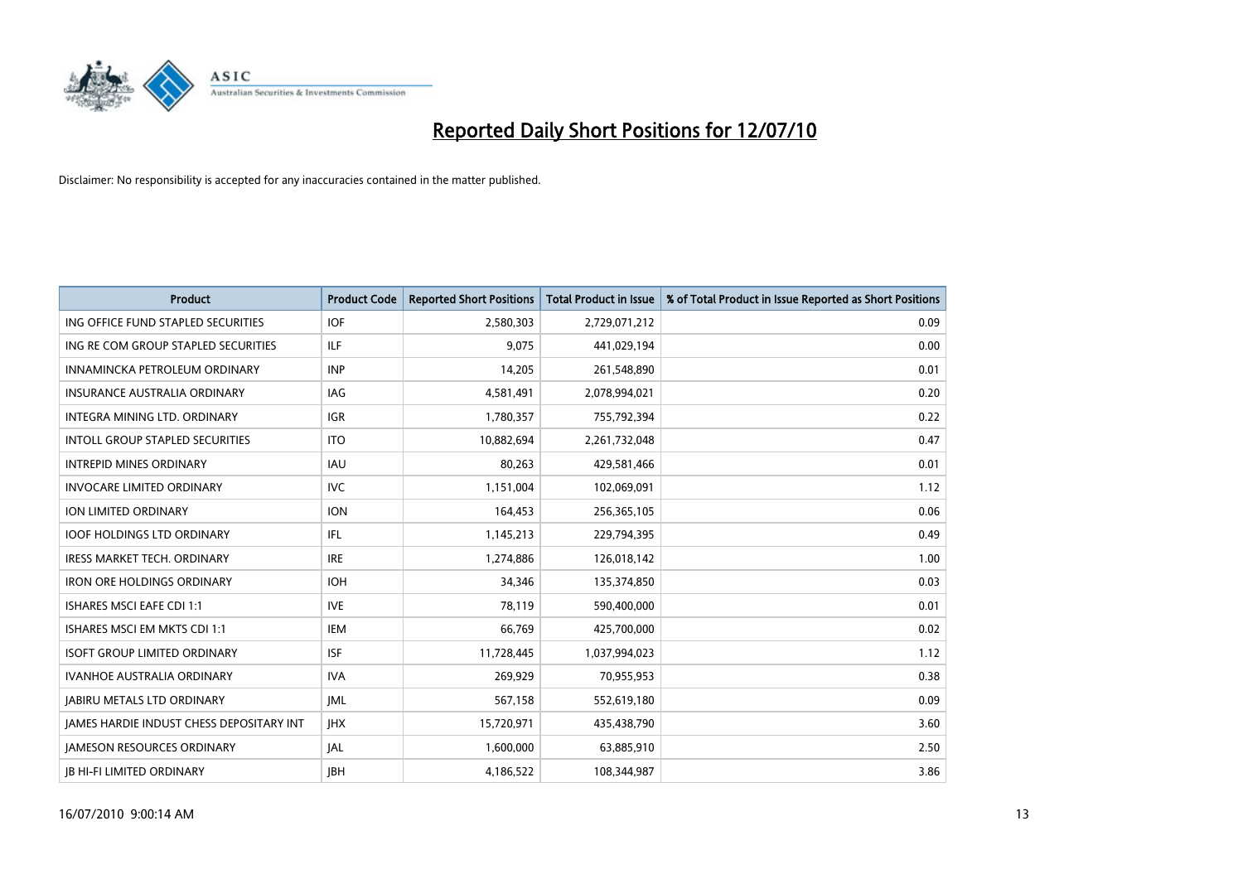

| <b>Product</b>                                  | <b>Product Code</b> | <b>Reported Short Positions</b> | <b>Total Product in Issue</b> | % of Total Product in Issue Reported as Short Positions |
|-------------------------------------------------|---------------------|---------------------------------|-------------------------------|---------------------------------------------------------|
| ING OFFICE FUND STAPLED SECURITIES              | <b>IOF</b>          | 2,580,303                       | 2,729,071,212                 | 0.09                                                    |
| ING RE COM GROUP STAPLED SECURITIES             | <b>ILF</b>          | 9,075                           | 441,029,194                   | 0.00                                                    |
| INNAMINCKA PETROLEUM ORDINARY                   | <b>INP</b>          | 14,205                          | 261,548,890                   | 0.01                                                    |
| INSURANCE AUSTRALIA ORDINARY                    | IAG                 | 4,581,491                       | 2,078,994,021                 | 0.20                                                    |
| <b>INTEGRA MINING LTD, ORDINARY</b>             | <b>IGR</b>          | 1,780,357                       | 755,792,394                   | 0.22                                                    |
| <b>INTOLL GROUP STAPLED SECURITIES</b>          | <b>ITO</b>          | 10,882,694                      | 2,261,732,048                 | 0.47                                                    |
| <b>INTREPID MINES ORDINARY</b>                  | <b>IAU</b>          | 80,263                          | 429,581,466                   | 0.01                                                    |
| <b>INVOCARE LIMITED ORDINARY</b>                | <b>IVC</b>          | 1,151,004                       | 102,069,091                   | 1.12                                                    |
| ION LIMITED ORDINARY                            | <b>ION</b>          | 164,453                         | 256,365,105                   | 0.06                                                    |
| <b>IOOF HOLDINGS LTD ORDINARY</b>               | IFL.                | 1,145,213                       | 229,794,395                   | 0.49                                                    |
| <b>IRESS MARKET TECH. ORDINARY</b>              | <b>IRE</b>          | 1,274,886                       | 126,018,142                   | 1.00                                                    |
| <b>IRON ORE HOLDINGS ORDINARY</b>               | <b>IOH</b>          | 34,346                          | 135,374,850                   | 0.03                                                    |
| <b>ISHARES MSCI EAFE CDI 1:1</b>                | <b>IVE</b>          | 78,119                          | 590,400,000                   | 0.01                                                    |
| ISHARES MSCI EM MKTS CDI 1:1                    | <b>IEM</b>          | 66,769                          | 425,700,000                   | 0.02                                                    |
| <b>ISOFT GROUP LIMITED ORDINARY</b>             | <b>ISF</b>          | 11,728,445                      | 1,037,994,023                 | 1.12                                                    |
| <b>IVANHOE AUSTRALIA ORDINARY</b>               | <b>IVA</b>          | 269.929                         | 70,955,953                    | 0.38                                                    |
| <b>JABIRU METALS LTD ORDINARY</b>               | <b>JML</b>          | 567,158                         | 552,619,180                   | 0.09                                                    |
| <b>JAMES HARDIE INDUST CHESS DEPOSITARY INT</b> | <b>IHX</b>          | 15,720,971                      | 435,438,790                   | 3.60                                                    |
| <b>JAMESON RESOURCES ORDINARY</b>               | <b>JAL</b>          | 1,600,000                       | 63,885,910                    | 2.50                                                    |
| <b>JB HI-FI LIMITED ORDINARY</b>                | <b>IBH</b>          | 4,186,522                       | 108,344,987                   | 3.86                                                    |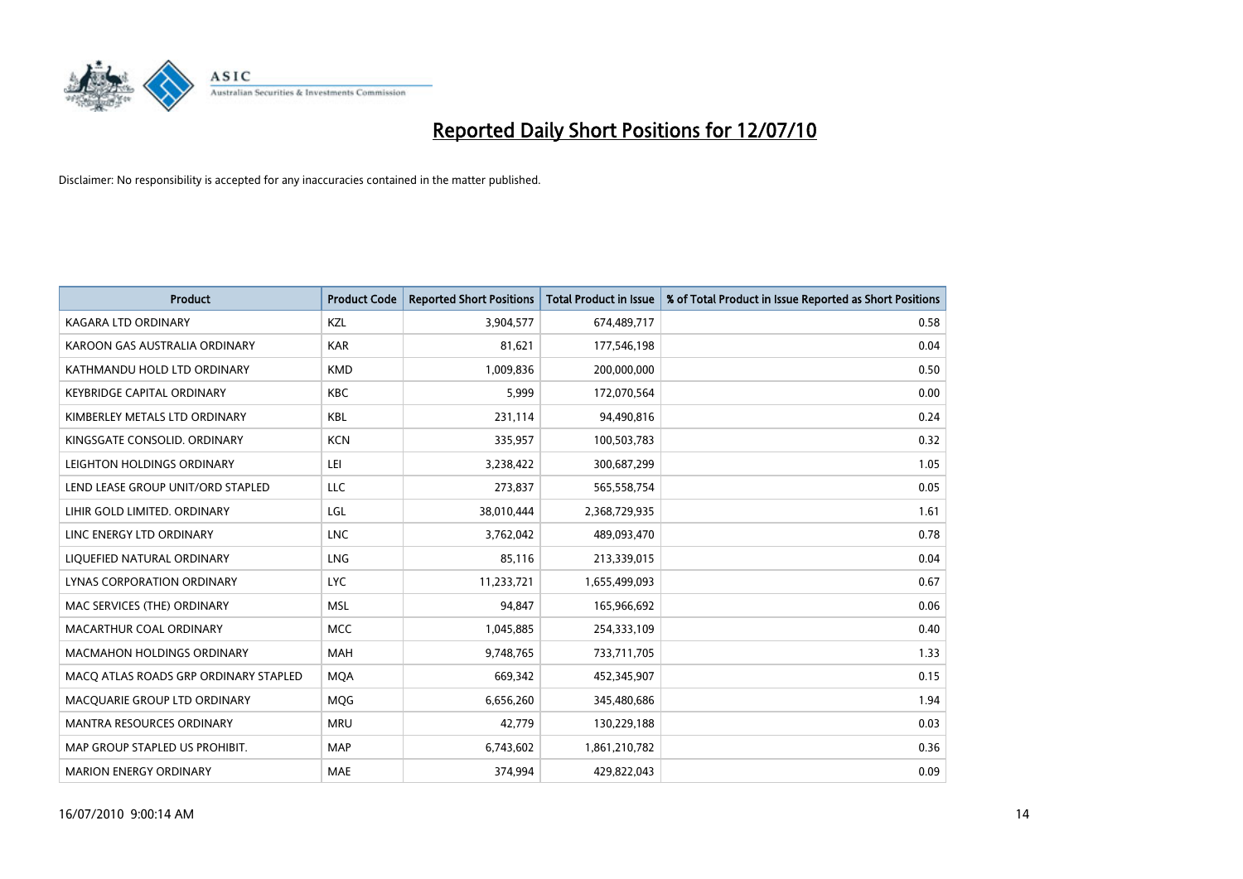

| <b>Product</b>                        | <b>Product Code</b> | <b>Reported Short Positions</b> | <b>Total Product in Issue</b> | % of Total Product in Issue Reported as Short Positions |
|---------------------------------------|---------------------|---------------------------------|-------------------------------|---------------------------------------------------------|
| <b>KAGARA LTD ORDINARY</b>            | KZL                 | 3,904,577                       | 674,489,717                   | 0.58                                                    |
| KAROON GAS AUSTRALIA ORDINARY         | <b>KAR</b>          | 81,621                          | 177,546,198                   | 0.04                                                    |
| KATHMANDU HOLD LTD ORDINARY           | <b>KMD</b>          | 1,009,836                       | 200,000,000                   | 0.50                                                    |
| <b>KEYBRIDGE CAPITAL ORDINARY</b>     | <b>KBC</b>          | 5,999                           | 172,070,564                   | 0.00                                                    |
| KIMBERLEY METALS LTD ORDINARY         | <b>KBL</b>          | 231,114                         | 94,490,816                    | 0.24                                                    |
| KINGSGATE CONSOLID, ORDINARY          | <b>KCN</b>          | 335,957                         | 100,503,783                   | 0.32                                                    |
| LEIGHTON HOLDINGS ORDINARY            | LEI                 | 3,238,422                       | 300,687,299                   | 1.05                                                    |
| LEND LEASE GROUP UNIT/ORD STAPLED     | LLC                 | 273,837                         | 565,558,754                   | 0.05                                                    |
| LIHIR GOLD LIMITED. ORDINARY          | LGL                 | 38,010,444                      | 2,368,729,935                 | 1.61                                                    |
| LINC ENERGY LTD ORDINARY              | <b>LNC</b>          | 3,762,042                       | 489,093,470                   | 0.78                                                    |
| LIQUEFIED NATURAL ORDINARY            | LNG                 | 85,116                          | 213,339,015                   | 0.04                                                    |
| LYNAS CORPORATION ORDINARY            | <b>LYC</b>          | 11,233,721                      | 1,655,499,093                 | 0.67                                                    |
| MAC SERVICES (THE) ORDINARY           | <b>MSL</b>          | 94,847                          | 165,966,692                   | 0.06                                                    |
| MACARTHUR COAL ORDINARY               | <b>MCC</b>          | 1,045,885                       | 254,333,109                   | 0.40                                                    |
| <b>MACMAHON HOLDINGS ORDINARY</b>     | <b>MAH</b>          | 9,748,765                       | 733,711,705                   | 1.33                                                    |
| MACO ATLAS ROADS GRP ORDINARY STAPLED | <b>MOA</b>          | 669,342                         | 452,345,907                   | 0.15                                                    |
| MACQUARIE GROUP LTD ORDINARY          | <b>MQG</b>          | 6,656,260                       | 345,480,686                   | 1.94                                                    |
| MANTRA RESOURCES ORDINARY             | <b>MRU</b>          | 42,779                          | 130,229,188                   | 0.03                                                    |
| MAP GROUP STAPLED US PROHIBIT.        | <b>MAP</b>          | 6,743,602                       | 1,861,210,782                 | 0.36                                                    |
| <b>MARION ENERGY ORDINARY</b>         | <b>MAE</b>          | 374,994                         | 429,822,043                   | 0.09                                                    |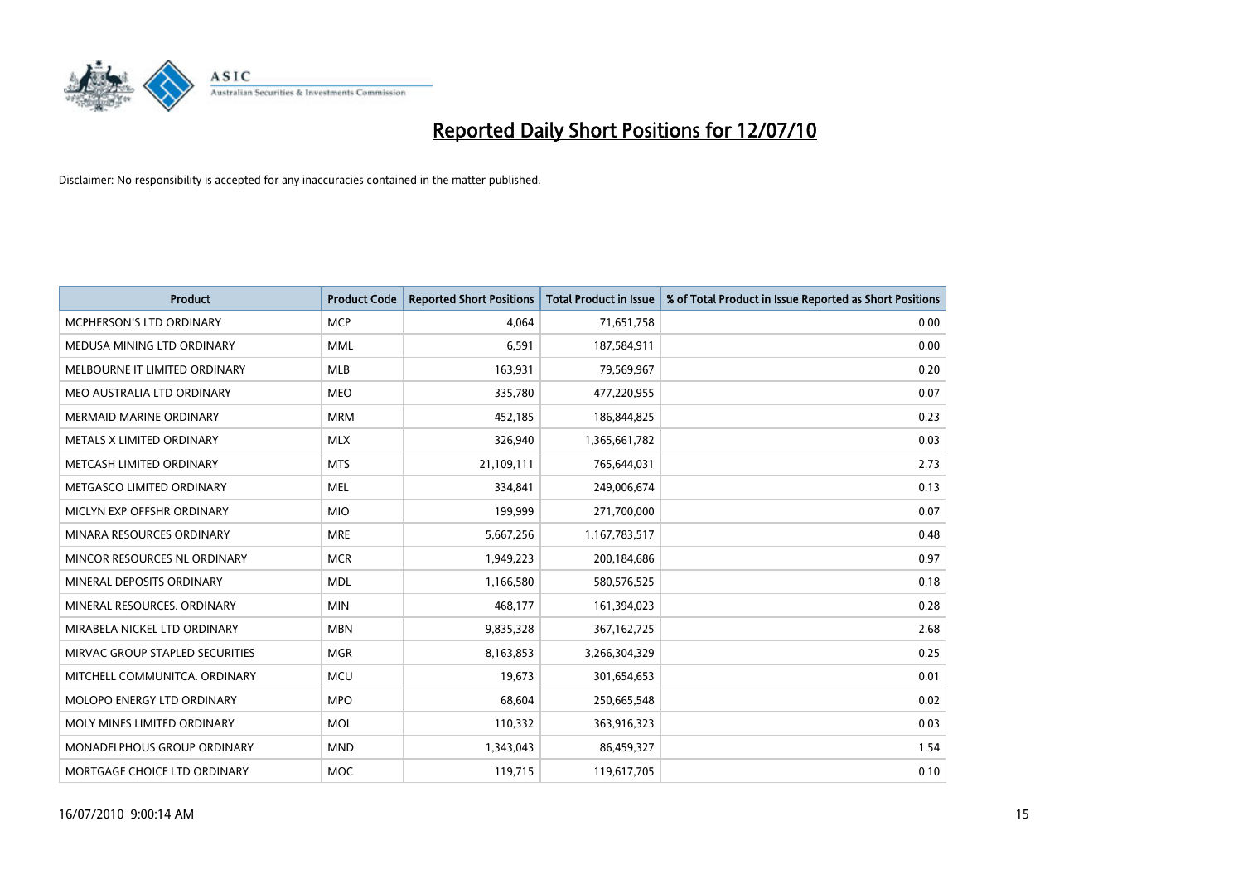

| <b>Product</b>                     | <b>Product Code</b> | <b>Reported Short Positions</b> | <b>Total Product in Issue</b> | % of Total Product in Issue Reported as Short Positions |
|------------------------------------|---------------------|---------------------------------|-------------------------------|---------------------------------------------------------|
| <b>MCPHERSON'S LTD ORDINARY</b>    | <b>MCP</b>          | 4,064                           | 71,651,758                    | 0.00                                                    |
| MEDUSA MINING LTD ORDINARY         | <b>MML</b>          | 6,591                           | 187,584,911                   | 0.00                                                    |
| MELBOURNE IT LIMITED ORDINARY      | <b>MLB</b>          | 163,931                         | 79,569,967                    | 0.20                                                    |
| MEO AUSTRALIA LTD ORDINARY         | <b>MEO</b>          | 335,780                         | 477,220,955                   | 0.07                                                    |
| <b>MERMAID MARINE ORDINARY</b>     | <b>MRM</b>          | 452,185                         | 186,844,825                   | 0.23                                                    |
| METALS X LIMITED ORDINARY          | <b>MLX</b>          | 326,940                         | 1,365,661,782                 | 0.03                                                    |
| METCASH LIMITED ORDINARY           | <b>MTS</b>          | 21,109,111                      | 765,644,031                   | 2.73                                                    |
| METGASCO LIMITED ORDINARY          | <b>MEL</b>          | 334,841                         | 249,006,674                   | 0.13                                                    |
| MICLYN EXP OFFSHR ORDINARY         | <b>MIO</b>          | 199,999                         | 271,700,000                   | 0.07                                                    |
| MINARA RESOURCES ORDINARY          | <b>MRE</b>          | 5,667,256                       | 1,167,783,517                 | 0.48                                                    |
| MINCOR RESOURCES NL ORDINARY       | <b>MCR</b>          | 1,949,223                       | 200,184,686                   | 0.97                                                    |
| MINERAL DEPOSITS ORDINARY          | <b>MDL</b>          | 1,166,580                       | 580,576,525                   | 0.18                                                    |
| MINERAL RESOURCES. ORDINARY        | <b>MIN</b>          | 468,177                         | 161,394,023                   | 0.28                                                    |
| MIRABELA NICKEL LTD ORDINARY       | <b>MBN</b>          | 9,835,328                       | 367, 162, 725                 | 2.68                                                    |
| MIRVAC GROUP STAPLED SECURITIES    | <b>MGR</b>          | 8,163,853                       | 3,266,304,329                 | 0.25                                                    |
| MITCHELL COMMUNITCA. ORDINARY      | <b>MCU</b>          | 19,673                          | 301,654,653                   | 0.01                                                    |
| MOLOPO ENERGY LTD ORDINARY         | <b>MPO</b>          | 68,604                          | 250,665,548                   | 0.02                                                    |
| MOLY MINES LIMITED ORDINARY        | <b>MOL</b>          | 110,332                         | 363,916,323                   | 0.03                                                    |
| <b>MONADELPHOUS GROUP ORDINARY</b> | <b>MND</b>          | 1,343,043                       | 86,459,327                    | 1.54                                                    |
| MORTGAGE CHOICE LTD ORDINARY       | <b>MOC</b>          | 119,715                         | 119,617,705                   | 0.10                                                    |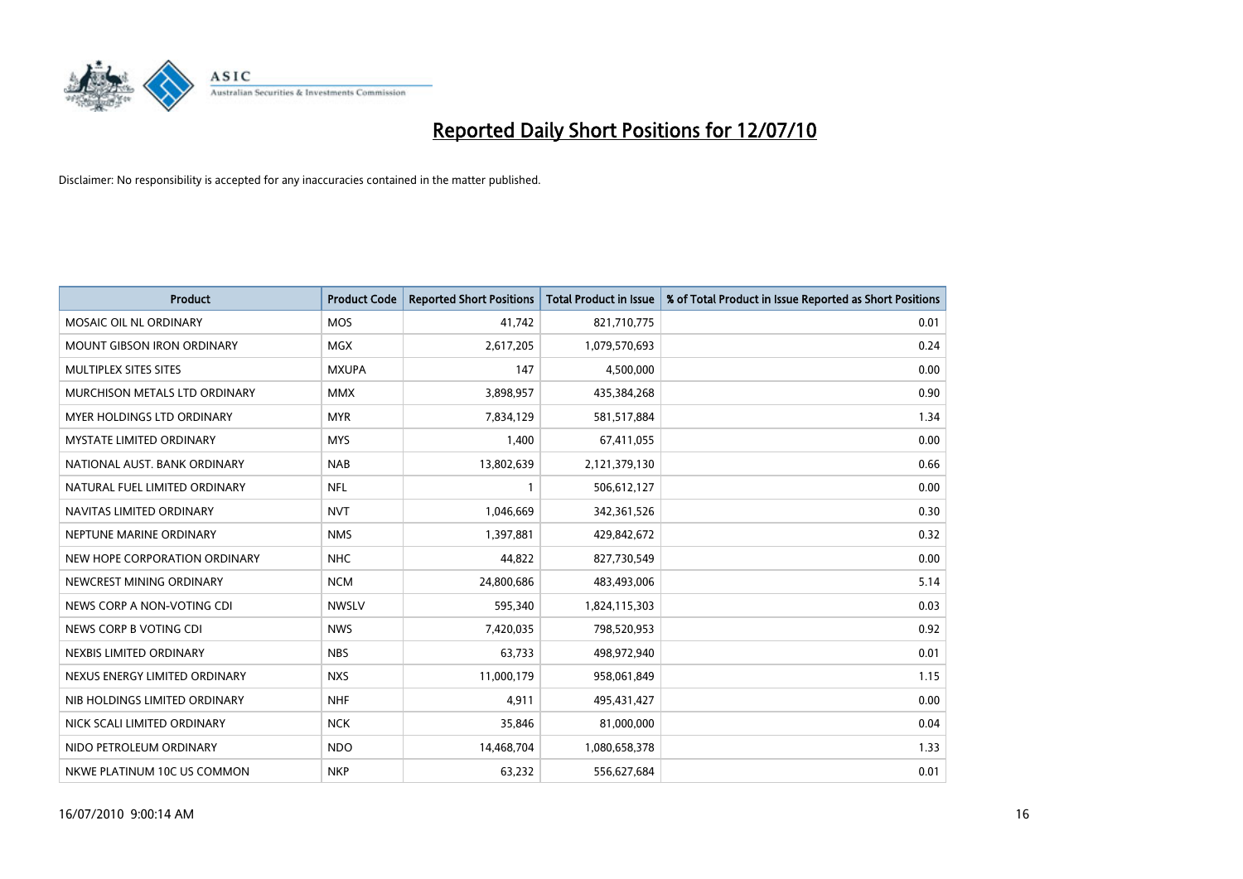

| <b>Product</b>                    | <b>Product Code</b> | <b>Reported Short Positions</b> | <b>Total Product in Issue</b> | % of Total Product in Issue Reported as Short Positions |
|-----------------------------------|---------------------|---------------------------------|-------------------------------|---------------------------------------------------------|
| MOSAIC OIL NL ORDINARY            | <b>MOS</b>          | 41,742                          | 821,710,775                   | 0.01                                                    |
| MOUNT GIBSON IRON ORDINARY        | <b>MGX</b>          | 2,617,205                       | 1,079,570,693                 | 0.24                                                    |
| MULTIPLEX SITES SITES             | <b>MXUPA</b>        | 147                             | 4,500,000                     | 0.00                                                    |
| MURCHISON METALS LTD ORDINARY     | <b>MMX</b>          | 3,898,957                       | 435,384,268                   | 0.90                                                    |
| <b>MYER HOLDINGS LTD ORDINARY</b> | <b>MYR</b>          | 7,834,129                       | 581,517,884                   | 1.34                                                    |
| <b>MYSTATE LIMITED ORDINARY</b>   | <b>MYS</b>          | 1,400                           | 67,411,055                    | 0.00                                                    |
| NATIONAL AUST. BANK ORDINARY      | <b>NAB</b>          | 13,802,639                      | 2,121,379,130                 | 0.66                                                    |
| NATURAL FUEL LIMITED ORDINARY     | <b>NFL</b>          |                                 | 506,612,127                   | 0.00                                                    |
| NAVITAS LIMITED ORDINARY          | <b>NVT</b>          | 1,046,669                       | 342,361,526                   | 0.30                                                    |
| NEPTUNE MARINE ORDINARY           | <b>NMS</b>          | 1,397,881                       | 429,842,672                   | 0.32                                                    |
| NEW HOPE CORPORATION ORDINARY     | <b>NHC</b>          | 44,822                          | 827,730,549                   | 0.00                                                    |
| NEWCREST MINING ORDINARY          | <b>NCM</b>          | 24,800,686                      | 483,493,006                   | 5.14                                                    |
| NEWS CORP A NON-VOTING CDI        | <b>NWSLV</b>        | 595,340                         | 1,824,115,303                 | 0.03                                                    |
| NEWS CORP B VOTING CDI            | <b>NWS</b>          | 7,420,035                       | 798,520,953                   | 0.92                                                    |
| NEXBIS LIMITED ORDINARY           | <b>NBS</b>          | 63,733                          | 498,972,940                   | 0.01                                                    |
| NEXUS ENERGY LIMITED ORDINARY     | <b>NXS</b>          | 11,000,179                      | 958,061,849                   | 1.15                                                    |
| NIB HOLDINGS LIMITED ORDINARY     | <b>NHF</b>          | 4,911                           | 495,431,427                   | 0.00                                                    |
| NICK SCALI LIMITED ORDINARY       | <b>NCK</b>          | 35,846                          | 81,000,000                    | 0.04                                                    |
| NIDO PETROLEUM ORDINARY           | <b>NDO</b>          | 14,468,704                      | 1,080,658,378                 | 1.33                                                    |
| NKWE PLATINUM 10C US COMMON       | <b>NKP</b>          | 63,232                          | 556,627,684                   | 0.01                                                    |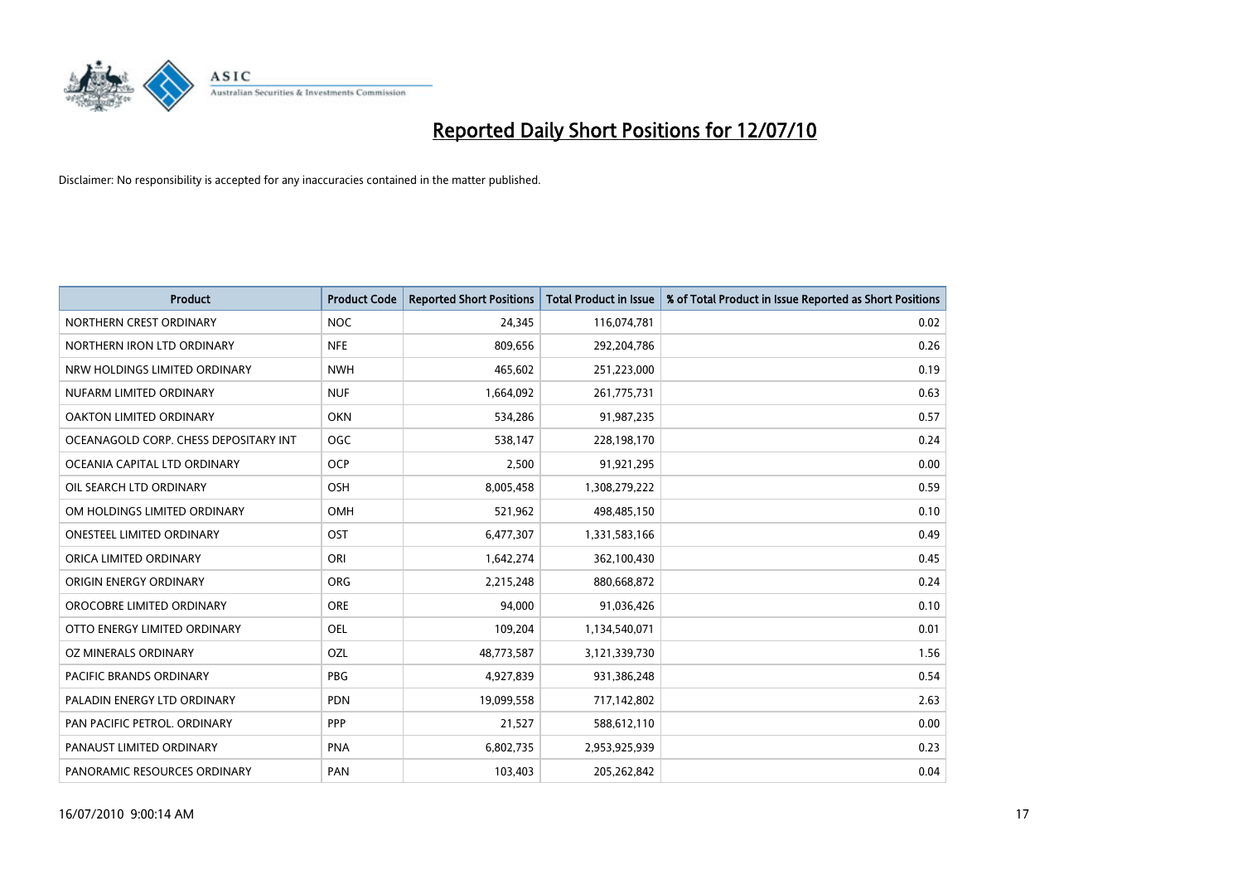

| <b>Product</b>                        | <b>Product Code</b> | <b>Reported Short Positions</b> | <b>Total Product in Issue</b> | % of Total Product in Issue Reported as Short Positions |
|---------------------------------------|---------------------|---------------------------------|-------------------------------|---------------------------------------------------------|
| NORTHERN CREST ORDINARY               | <b>NOC</b>          | 24,345                          | 116,074,781                   | 0.02                                                    |
| NORTHERN IRON LTD ORDINARY            | <b>NFE</b>          | 809,656                         | 292,204,786                   | 0.26                                                    |
| NRW HOLDINGS LIMITED ORDINARY         | <b>NWH</b>          | 465,602                         | 251,223,000                   | 0.19                                                    |
| NUFARM LIMITED ORDINARY               | <b>NUF</b>          | 1,664,092                       | 261,775,731                   | 0.63                                                    |
| OAKTON LIMITED ORDINARY               | <b>OKN</b>          | 534,286                         | 91,987,235                    | 0.57                                                    |
| OCEANAGOLD CORP. CHESS DEPOSITARY INT | <b>OGC</b>          | 538,147                         | 228,198,170                   | 0.24                                                    |
| OCEANIA CAPITAL LTD ORDINARY          | <b>OCP</b>          | 2,500                           | 91,921,295                    | 0.00                                                    |
| OIL SEARCH LTD ORDINARY               | OSH                 | 8,005,458                       | 1,308,279,222                 | 0.59                                                    |
| OM HOLDINGS LIMITED ORDINARY          | <b>OMH</b>          | 521,962                         | 498,485,150                   | 0.10                                                    |
| <b>ONESTEEL LIMITED ORDINARY</b>      | OST                 | 6,477,307                       | 1,331,583,166                 | 0.49                                                    |
| ORICA LIMITED ORDINARY                | ORI                 | 1,642,274                       | 362,100,430                   | 0.45                                                    |
| ORIGIN ENERGY ORDINARY                | <b>ORG</b>          | 2,215,248                       | 880,668,872                   | 0.24                                                    |
| OROCOBRE LIMITED ORDINARY             | <b>ORE</b>          | 94,000                          | 91,036,426                    | 0.10                                                    |
| OTTO ENERGY LIMITED ORDINARY          | OEL                 | 109,204                         | 1,134,540,071                 | 0.01                                                    |
| OZ MINERALS ORDINARY                  | OZL                 | 48,773,587                      | 3,121,339,730                 | 1.56                                                    |
| <b>PACIFIC BRANDS ORDINARY</b>        | <b>PBG</b>          | 4,927,839                       | 931,386,248                   | 0.54                                                    |
| PALADIN ENERGY LTD ORDINARY           | <b>PDN</b>          | 19,099,558                      | 717,142,802                   | 2.63                                                    |
| PAN PACIFIC PETROL. ORDINARY          | PPP                 | 21,527                          | 588,612,110                   | 0.00                                                    |
| PANAUST LIMITED ORDINARY              | <b>PNA</b>          | 6,802,735                       | 2,953,925,939                 | 0.23                                                    |
| PANORAMIC RESOURCES ORDINARY          | PAN                 | 103,403                         | 205,262,842                   | 0.04                                                    |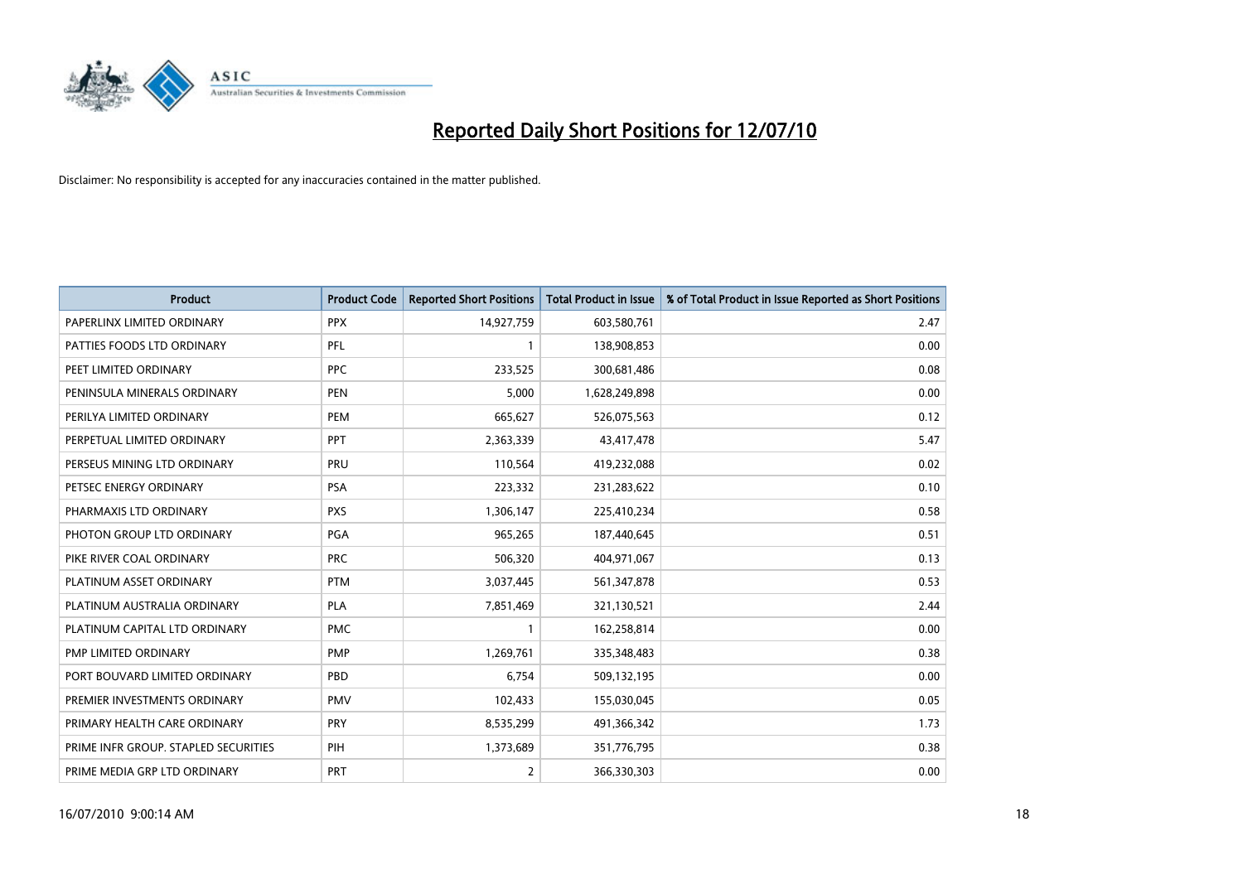

| <b>Product</b>                       | <b>Product Code</b> | <b>Reported Short Positions</b> | Total Product in Issue | % of Total Product in Issue Reported as Short Positions |
|--------------------------------------|---------------------|---------------------------------|------------------------|---------------------------------------------------------|
| PAPERLINX LIMITED ORDINARY           | <b>PPX</b>          | 14,927,759                      | 603,580,761            | 2.47                                                    |
| PATTIES FOODS LTD ORDINARY           | PFL                 |                                 | 138,908,853            | 0.00                                                    |
| PEET LIMITED ORDINARY                | <b>PPC</b>          | 233,525                         | 300,681,486            | 0.08                                                    |
| PENINSULA MINERALS ORDINARY          | <b>PEN</b>          | 5,000                           | 1,628,249,898          | 0.00                                                    |
| PERILYA LIMITED ORDINARY             | PEM                 | 665,627                         | 526,075,563            | 0.12                                                    |
| PERPETUAL LIMITED ORDINARY           | PPT                 | 2,363,339                       | 43,417,478             | 5.47                                                    |
| PERSEUS MINING LTD ORDINARY          | PRU                 | 110,564                         | 419,232,088            | 0.02                                                    |
| PETSEC ENERGY ORDINARY               | <b>PSA</b>          | 223,332                         | 231,283,622            | 0.10                                                    |
| PHARMAXIS LTD ORDINARY               | <b>PXS</b>          | 1,306,147                       | 225,410,234            | 0.58                                                    |
| PHOTON GROUP LTD ORDINARY            | PGA                 | 965,265                         | 187,440,645            | 0.51                                                    |
| PIKE RIVER COAL ORDINARY             | <b>PRC</b>          | 506,320                         | 404,971,067            | 0.13                                                    |
| PLATINUM ASSET ORDINARY              | <b>PTM</b>          | 3,037,445                       | 561,347,878            | 0.53                                                    |
| PLATINUM AUSTRALIA ORDINARY          | <b>PLA</b>          | 7,851,469                       | 321,130,521            | 2.44                                                    |
| PLATINUM CAPITAL LTD ORDINARY        | <b>PMC</b>          |                                 | 162,258,814            | 0.00                                                    |
| PMP LIMITED ORDINARY                 | PMP                 | 1,269,761                       | 335,348,483            | 0.38                                                    |
| PORT BOUVARD LIMITED ORDINARY        | PBD                 | 6,754                           | 509,132,195            | 0.00                                                    |
| PREMIER INVESTMENTS ORDINARY         | <b>PMV</b>          | 102,433                         | 155,030,045            | 0.05                                                    |
| PRIMARY HEALTH CARE ORDINARY         | <b>PRY</b>          | 8,535,299                       | 491,366,342            | 1.73                                                    |
| PRIME INFR GROUP. STAPLED SECURITIES | PIH                 | 1,373,689                       | 351,776,795            | 0.38                                                    |
| PRIME MEDIA GRP LTD ORDINARY         | <b>PRT</b>          | $\overline{2}$                  | 366,330,303            | 0.00                                                    |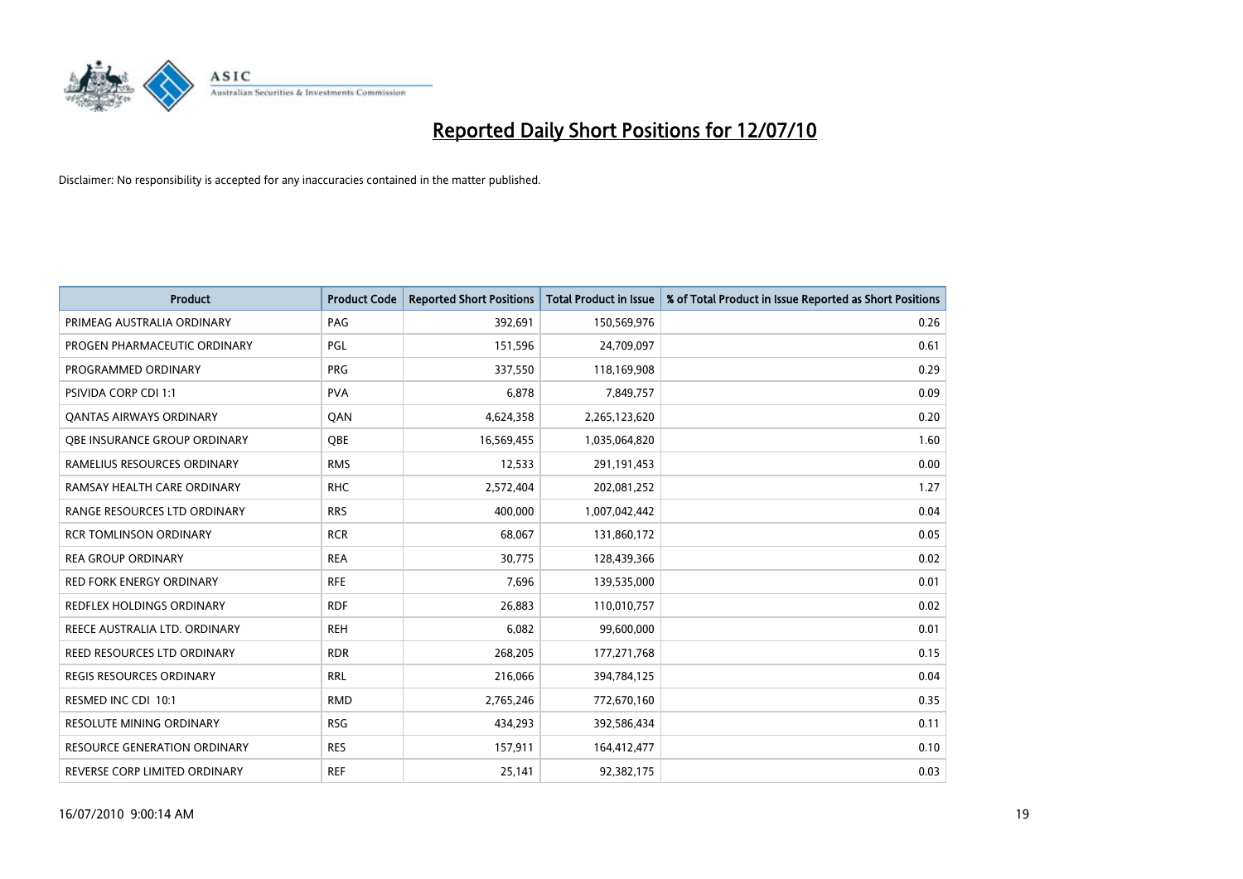

| <b>Product</b>                      | <b>Product Code</b> | <b>Reported Short Positions</b> | <b>Total Product in Issue</b> | % of Total Product in Issue Reported as Short Positions |
|-------------------------------------|---------------------|---------------------------------|-------------------------------|---------------------------------------------------------|
| PRIMEAG AUSTRALIA ORDINARY          | PAG                 | 392,691                         | 150,569,976                   | 0.26                                                    |
| PROGEN PHARMACEUTIC ORDINARY        | <b>PGL</b>          | 151,596                         | 24,709,097                    | 0.61                                                    |
| PROGRAMMED ORDINARY                 | <b>PRG</b>          | 337,550                         | 118,169,908                   | 0.29                                                    |
| PSIVIDA CORP CDI 1:1                | <b>PVA</b>          | 6,878                           | 7,849,757                     | 0.09                                                    |
| <b>QANTAS AIRWAYS ORDINARY</b>      | QAN                 | 4,624,358                       | 2,265,123,620                 | 0.20                                                    |
| OBE INSURANCE GROUP ORDINARY        | <b>OBE</b>          | 16,569,455                      | 1,035,064,820                 | 1.60                                                    |
| RAMELIUS RESOURCES ORDINARY         | <b>RMS</b>          | 12,533                          | 291,191,453                   | 0.00                                                    |
| RAMSAY HEALTH CARE ORDINARY         | <b>RHC</b>          | 2,572,404                       | 202,081,252                   | 1.27                                                    |
| RANGE RESOURCES LTD ORDINARY        | <b>RRS</b>          | 400.000                         | 1,007,042,442                 | 0.04                                                    |
| <b>RCR TOMLINSON ORDINARY</b>       | <b>RCR</b>          | 68,067                          | 131,860,172                   | 0.05                                                    |
| <b>REA GROUP ORDINARY</b>           | <b>REA</b>          | 30,775                          | 128,439,366                   | 0.02                                                    |
| <b>RED FORK ENERGY ORDINARY</b>     | <b>RFE</b>          | 7,696                           | 139,535,000                   | 0.01                                                    |
| REDFLEX HOLDINGS ORDINARY           | <b>RDF</b>          | 26,883                          | 110,010,757                   | 0.02                                                    |
| REECE AUSTRALIA LTD. ORDINARY       | <b>REH</b>          | 6,082                           | 99,600,000                    | 0.01                                                    |
| REED RESOURCES LTD ORDINARY         | <b>RDR</b>          | 268,205                         | 177,271,768                   | 0.15                                                    |
| REGIS RESOURCES ORDINARY            | <b>RRL</b>          | 216,066                         | 394,784,125                   | 0.04                                                    |
| RESMED INC CDI 10:1                 | <b>RMD</b>          | 2,765,246                       | 772,670,160                   | 0.35                                                    |
| <b>RESOLUTE MINING ORDINARY</b>     | <b>RSG</b>          | 434,293                         | 392,586,434                   | 0.11                                                    |
| <b>RESOURCE GENERATION ORDINARY</b> | <b>RES</b>          | 157,911                         | 164,412,477                   | 0.10                                                    |
| REVERSE CORP LIMITED ORDINARY       | <b>REF</b>          | 25,141                          | 92,382,175                    | 0.03                                                    |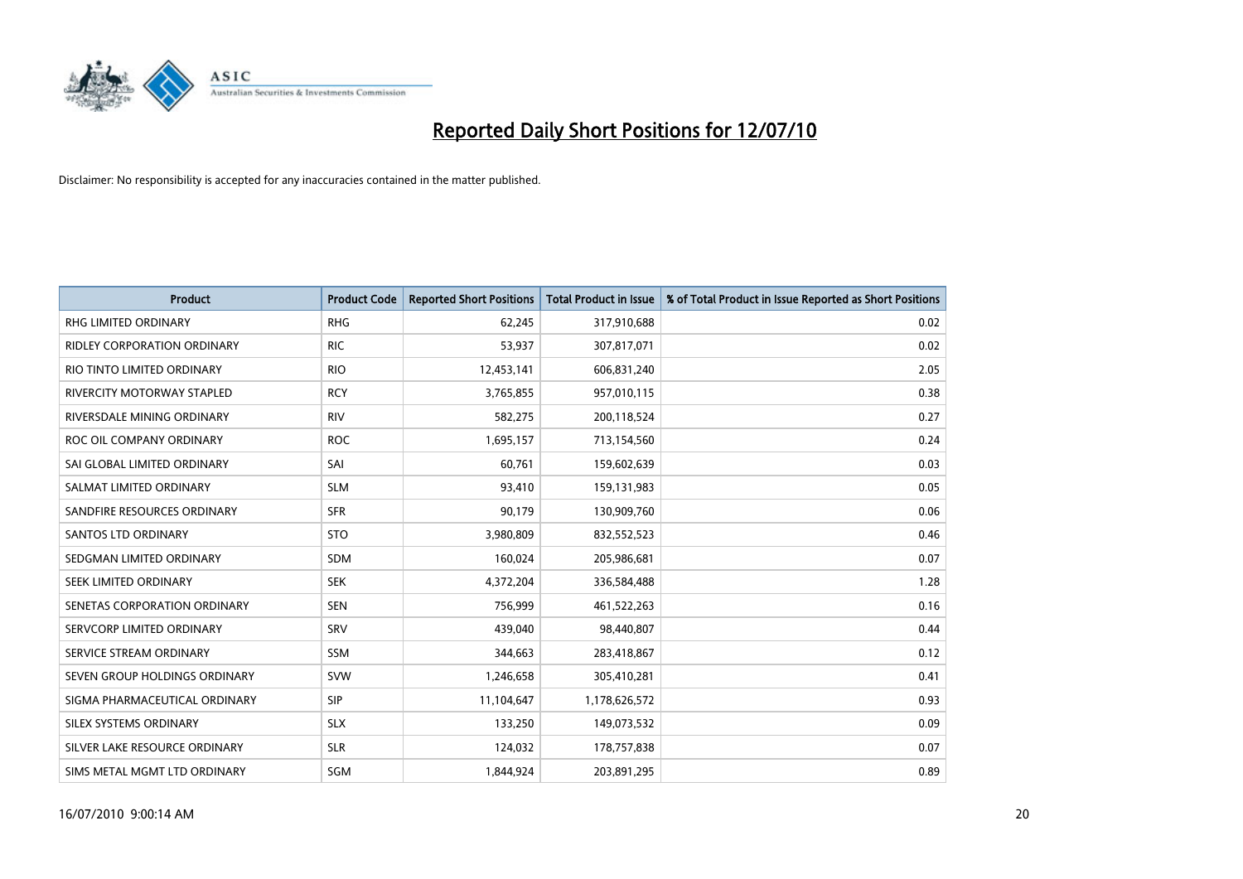

| <b>Product</b>                | <b>Product Code</b> | <b>Reported Short Positions</b> | Total Product in Issue | % of Total Product in Issue Reported as Short Positions |
|-------------------------------|---------------------|---------------------------------|------------------------|---------------------------------------------------------|
| <b>RHG LIMITED ORDINARY</b>   | <b>RHG</b>          | 62,245                          | 317,910,688            | 0.02                                                    |
| RIDLEY CORPORATION ORDINARY   | <b>RIC</b>          | 53,937                          | 307,817,071            | 0.02                                                    |
| RIO TINTO LIMITED ORDINARY    | <b>RIO</b>          | 12,453,141                      | 606,831,240            | 2.05                                                    |
| RIVERCITY MOTORWAY STAPLED    | <b>RCY</b>          | 3,765,855                       | 957,010,115            | 0.38                                                    |
| RIVERSDALE MINING ORDINARY    | <b>RIV</b>          | 582,275                         | 200,118,524            | 0.27                                                    |
| ROC OIL COMPANY ORDINARY      | <b>ROC</b>          | 1,695,157                       | 713,154,560            | 0.24                                                    |
| SAI GLOBAL LIMITED ORDINARY   | SAI                 | 60,761                          | 159,602,639            | 0.03                                                    |
| SALMAT LIMITED ORDINARY       | <b>SLM</b>          | 93,410                          | 159,131,983            | 0.05                                                    |
| SANDFIRE RESOURCES ORDINARY   | <b>SFR</b>          | 90,179                          | 130,909,760            | 0.06                                                    |
| <b>SANTOS LTD ORDINARY</b>    | <b>STO</b>          | 3,980,809                       | 832,552,523            | 0.46                                                    |
| SEDGMAN LIMITED ORDINARY      | <b>SDM</b>          | 160,024                         | 205,986,681            | 0.07                                                    |
| <b>SEEK LIMITED ORDINARY</b>  | <b>SEK</b>          | 4,372,204                       | 336,584,488            | 1.28                                                    |
| SENETAS CORPORATION ORDINARY  | <b>SEN</b>          | 756,999                         | 461,522,263            | 0.16                                                    |
| SERVCORP LIMITED ORDINARY     | SRV                 | 439,040                         | 98,440,807             | 0.44                                                    |
| SERVICE STREAM ORDINARY       | SSM                 | 344,663                         | 283,418,867            | 0.12                                                    |
| SEVEN GROUP HOLDINGS ORDINARY | <b>SVW</b>          | 1,246,658                       | 305,410,281            | 0.41                                                    |
| SIGMA PHARMACEUTICAL ORDINARY | SIP                 | 11,104,647                      | 1,178,626,572          | 0.93                                                    |
| SILEX SYSTEMS ORDINARY        | <b>SLX</b>          | 133,250                         | 149,073,532            | 0.09                                                    |
| SILVER LAKE RESOURCE ORDINARY | <b>SLR</b>          | 124,032                         | 178,757,838            | 0.07                                                    |
| SIMS METAL MGMT LTD ORDINARY  | SGM                 | 1,844,924                       | 203,891,295            | 0.89                                                    |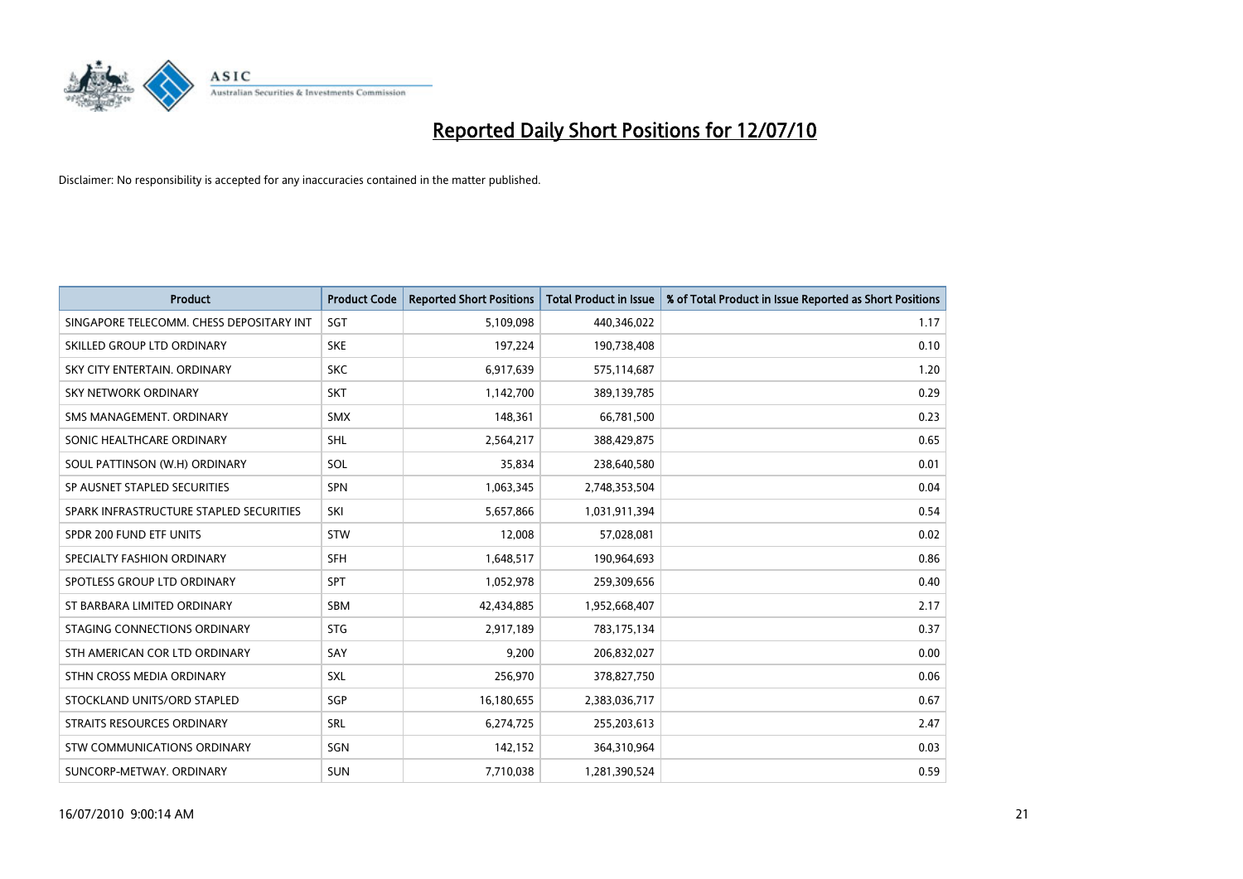

| <b>Product</b>                           | <b>Product Code</b> | <b>Reported Short Positions</b> | Total Product in Issue | % of Total Product in Issue Reported as Short Positions |
|------------------------------------------|---------------------|---------------------------------|------------------------|---------------------------------------------------------|
| SINGAPORE TELECOMM. CHESS DEPOSITARY INT | SGT                 | 5,109,098                       | 440,346,022            | 1.17                                                    |
| SKILLED GROUP LTD ORDINARY               | <b>SKE</b>          | 197,224                         | 190,738,408            | 0.10                                                    |
| SKY CITY ENTERTAIN, ORDINARY             | <b>SKC</b>          | 6,917,639                       | 575,114,687            | 1.20                                                    |
| SKY NETWORK ORDINARY                     | <b>SKT</b>          | 1,142,700                       | 389,139,785            | 0.29                                                    |
| SMS MANAGEMENT, ORDINARY                 | <b>SMX</b>          | 148,361                         | 66,781,500             | 0.23                                                    |
| SONIC HEALTHCARE ORDINARY                | <b>SHL</b>          | 2,564,217                       | 388,429,875            | 0.65                                                    |
| SOUL PATTINSON (W.H) ORDINARY            | <b>SOL</b>          | 35,834                          | 238,640,580            | 0.01                                                    |
| SP AUSNET STAPLED SECURITIES             | SPN                 | 1,063,345                       | 2,748,353,504          | 0.04                                                    |
| SPARK INFRASTRUCTURE STAPLED SECURITIES  | SKI                 | 5,657,866                       | 1,031,911,394          | 0.54                                                    |
| SPDR 200 FUND ETF UNITS                  | <b>STW</b>          | 12,008                          | 57,028,081             | 0.02                                                    |
| SPECIALTY FASHION ORDINARY               | <b>SFH</b>          | 1,648,517                       | 190,964,693            | 0.86                                                    |
| SPOTLESS GROUP LTD ORDINARY              | <b>SPT</b>          | 1,052,978                       | 259,309,656            | 0.40                                                    |
| ST BARBARA LIMITED ORDINARY              | SBM                 | 42,434,885                      | 1,952,668,407          | 2.17                                                    |
| STAGING CONNECTIONS ORDINARY             | <b>STG</b>          | 2,917,189                       | 783,175,134            | 0.37                                                    |
| STH AMERICAN COR LTD ORDINARY            | SAY                 | 9,200                           | 206,832,027            | 0.00                                                    |
| STHN CROSS MEDIA ORDINARY                | <b>SXL</b>          | 256,970                         | 378,827,750            | 0.06                                                    |
| STOCKLAND UNITS/ORD STAPLED              | SGP                 | 16,180,655                      | 2,383,036,717          | 0.67                                                    |
| <b>STRAITS RESOURCES ORDINARY</b>        | <b>SRL</b>          | 6,274,725                       | 255,203,613            | 2.47                                                    |
| STW COMMUNICATIONS ORDINARY              | SGN                 | 142,152                         | 364,310,964            | 0.03                                                    |
| SUNCORP-METWAY. ORDINARY                 | <b>SUN</b>          | 7,710,038                       | 1,281,390,524          | 0.59                                                    |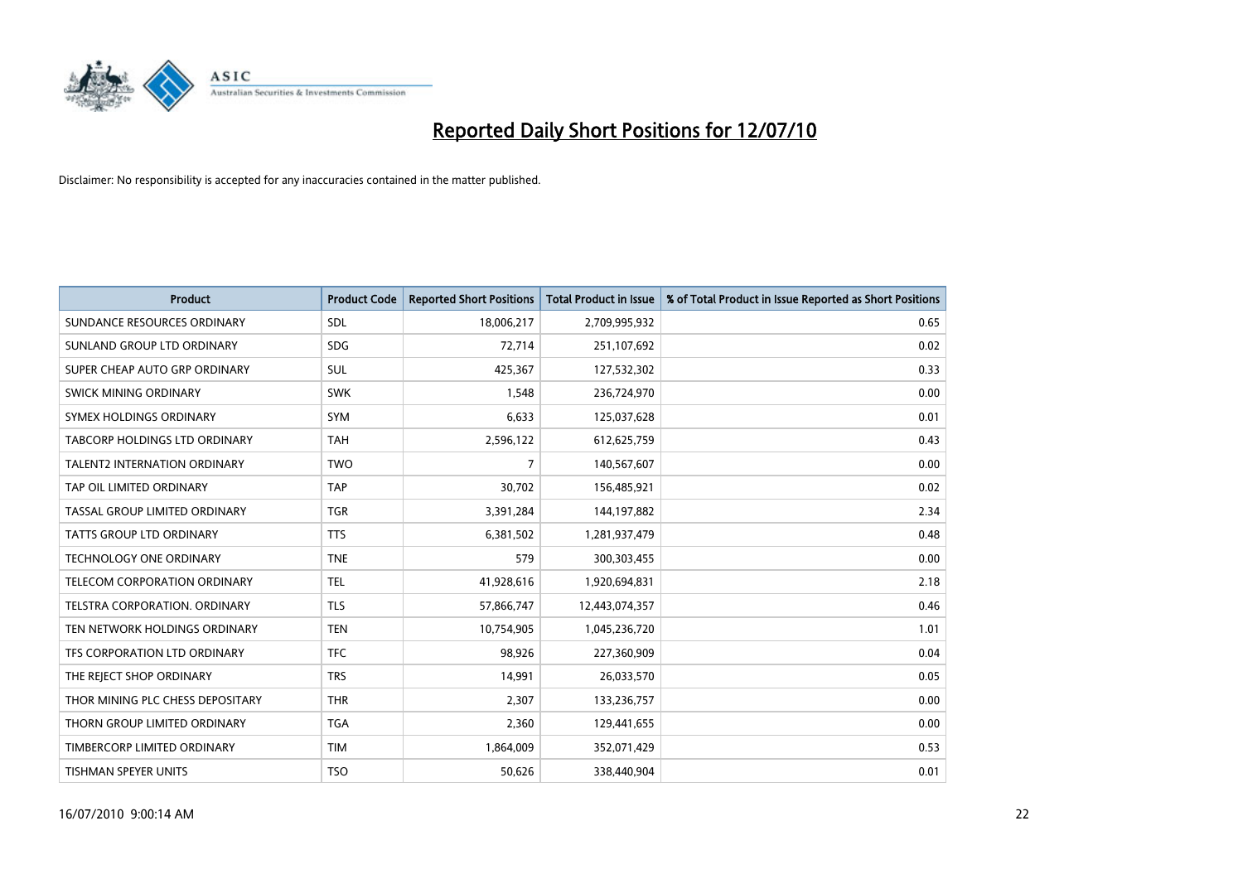

| <b>Product</b>                      | <b>Product Code</b> | <b>Reported Short Positions</b> | <b>Total Product in Issue</b> | % of Total Product in Issue Reported as Short Positions |
|-------------------------------------|---------------------|---------------------------------|-------------------------------|---------------------------------------------------------|
| SUNDANCE RESOURCES ORDINARY         | <b>SDL</b>          | 18,006,217                      | 2,709,995,932                 | 0.65                                                    |
| SUNLAND GROUP LTD ORDINARY          | <b>SDG</b>          | 72,714                          | 251,107,692                   | 0.02                                                    |
| SUPER CHEAP AUTO GRP ORDINARY       | <b>SUL</b>          | 425,367                         | 127,532,302                   | 0.33                                                    |
| SWICK MINING ORDINARY               | <b>SWK</b>          | 1,548                           | 236,724,970                   | 0.00                                                    |
| SYMEX HOLDINGS ORDINARY             | SYM                 | 6,633                           | 125,037,628                   | 0.01                                                    |
| TABCORP HOLDINGS LTD ORDINARY       | <b>TAH</b>          | 2,596,122                       | 612,625,759                   | 0.43                                                    |
| <b>TALENT2 INTERNATION ORDINARY</b> | <b>TWO</b>          | 7                               | 140,567,607                   | 0.00                                                    |
| TAP OIL LIMITED ORDINARY            | <b>TAP</b>          | 30.702                          | 156,485,921                   | 0.02                                                    |
| TASSAL GROUP LIMITED ORDINARY       | <b>TGR</b>          | 3,391,284                       | 144,197,882                   | 2.34                                                    |
| <b>TATTS GROUP LTD ORDINARY</b>     | <b>TTS</b>          | 6,381,502                       | 1,281,937,479                 | 0.48                                                    |
| <b>TECHNOLOGY ONE ORDINARY</b>      | <b>TNE</b>          | 579                             | 300,303,455                   | 0.00                                                    |
| TELECOM CORPORATION ORDINARY        | <b>TEL</b>          | 41,928,616                      | 1,920,694,831                 | 2.18                                                    |
| TELSTRA CORPORATION. ORDINARY       | <b>TLS</b>          | 57,866,747                      | 12,443,074,357                | 0.46                                                    |
| TEN NETWORK HOLDINGS ORDINARY       | <b>TEN</b>          | 10,754,905                      | 1,045,236,720                 | 1.01                                                    |
| TFS CORPORATION LTD ORDINARY        | <b>TFC</b>          | 98.926                          | 227,360,909                   | 0.04                                                    |
| THE REJECT SHOP ORDINARY            | <b>TRS</b>          | 14,991                          | 26,033,570                    | 0.05                                                    |
| THOR MINING PLC CHESS DEPOSITARY    | <b>THR</b>          | 2,307                           | 133,236,757                   | 0.00                                                    |
| THORN GROUP LIMITED ORDINARY        | <b>TGA</b>          | 2,360                           | 129,441,655                   | 0.00                                                    |
| TIMBERCORP LIMITED ORDINARY         | <b>TIM</b>          | 1,864,009                       | 352,071,429                   | 0.53                                                    |
| TISHMAN SPEYER UNITS                | <b>TSO</b>          | 50,626                          | 338,440,904                   | 0.01                                                    |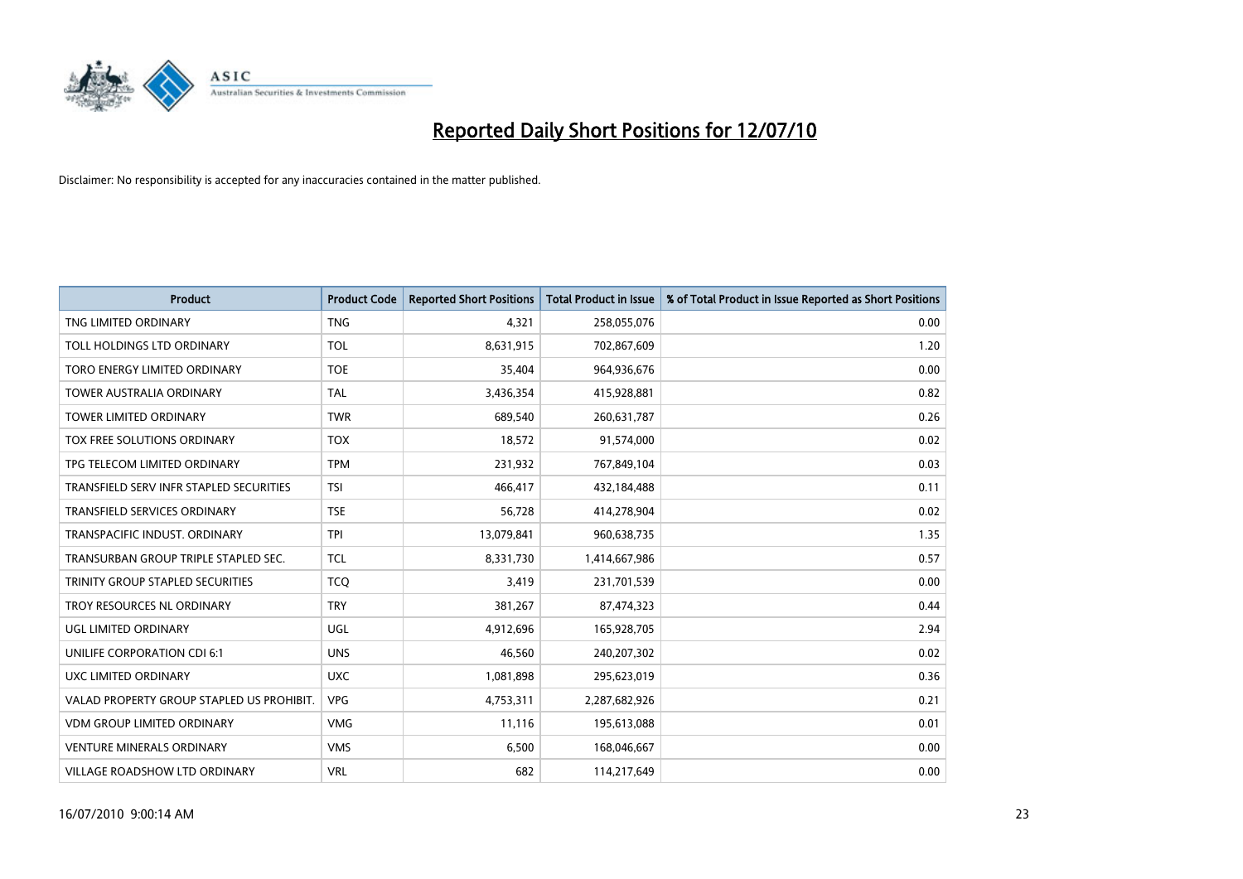

| <b>Product</b>                            | <b>Product Code</b> | <b>Reported Short Positions</b> | <b>Total Product in Issue</b> | % of Total Product in Issue Reported as Short Positions |
|-------------------------------------------|---------------------|---------------------------------|-------------------------------|---------------------------------------------------------|
| TNG LIMITED ORDINARY                      | <b>TNG</b>          | 4,321                           | 258,055,076                   | 0.00                                                    |
| TOLL HOLDINGS LTD ORDINARY                | <b>TOL</b>          | 8,631,915                       | 702,867,609                   | 1.20                                                    |
| TORO ENERGY LIMITED ORDINARY              | <b>TOE</b>          | 35,404                          | 964,936,676                   | 0.00                                                    |
| <b>TOWER AUSTRALIA ORDINARY</b>           | <b>TAL</b>          | 3,436,354                       | 415,928,881                   | 0.82                                                    |
| <b>TOWER LIMITED ORDINARY</b>             | <b>TWR</b>          | 689,540                         | 260,631,787                   | 0.26                                                    |
| TOX FREE SOLUTIONS ORDINARY               | <b>TOX</b>          | 18,572                          | 91,574,000                    | 0.02                                                    |
| TPG TELECOM LIMITED ORDINARY              | <b>TPM</b>          | 231,932                         | 767,849,104                   | 0.03                                                    |
| TRANSFIELD SERV INFR STAPLED SECURITIES   | <b>TSI</b>          | 466,417                         | 432,184,488                   | 0.11                                                    |
| <b>TRANSFIELD SERVICES ORDINARY</b>       | <b>TSE</b>          | 56,728                          | 414,278,904                   | 0.02                                                    |
| TRANSPACIFIC INDUST, ORDINARY             | <b>TPI</b>          | 13,079,841                      | 960,638,735                   | 1.35                                                    |
| TRANSURBAN GROUP TRIPLE STAPLED SEC.      | <b>TCL</b>          | 8,331,730                       | 1,414,667,986                 | 0.57                                                    |
| TRINITY GROUP STAPLED SECURITIES          | <b>TCQ</b>          | 3,419                           | 231,701,539                   | 0.00                                                    |
| TROY RESOURCES NL ORDINARY                | <b>TRY</b>          | 381,267                         | 87,474,323                    | 0.44                                                    |
| UGL LIMITED ORDINARY                      | UGL                 | 4,912,696                       | 165,928,705                   | 2.94                                                    |
| <b>UNILIFE CORPORATION CDI 6:1</b>        | <b>UNS</b>          | 46,560                          | 240,207,302                   | 0.02                                                    |
| UXC LIMITED ORDINARY                      | <b>UXC</b>          | 1,081,898                       | 295,623,019                   | 0.36                                                    |
| VALAD PROPERTY GROUP STAPLED US PROHIBIT. | <b>VPG</b>          | 4,753,311                       | 2,287,682,926                 | 0.21                                                    |
| VDM GROUP LIMITED ORDINARY                | <b>VMG</b>          | 11,116                          | 195,613,088                   | 0.01                                                    |
| <b>VENTURE MINERALS ORDINARY</b>          | <b>VMS</b>          | 6,500                           | 168,046,667                   | 0.00                                                    |
| <b>VILLAGE ROADSHOW LTD ORDINARY</b>      | <b>VRL</b>          | 682                             | 114,217,649                   | 0.00                                                    |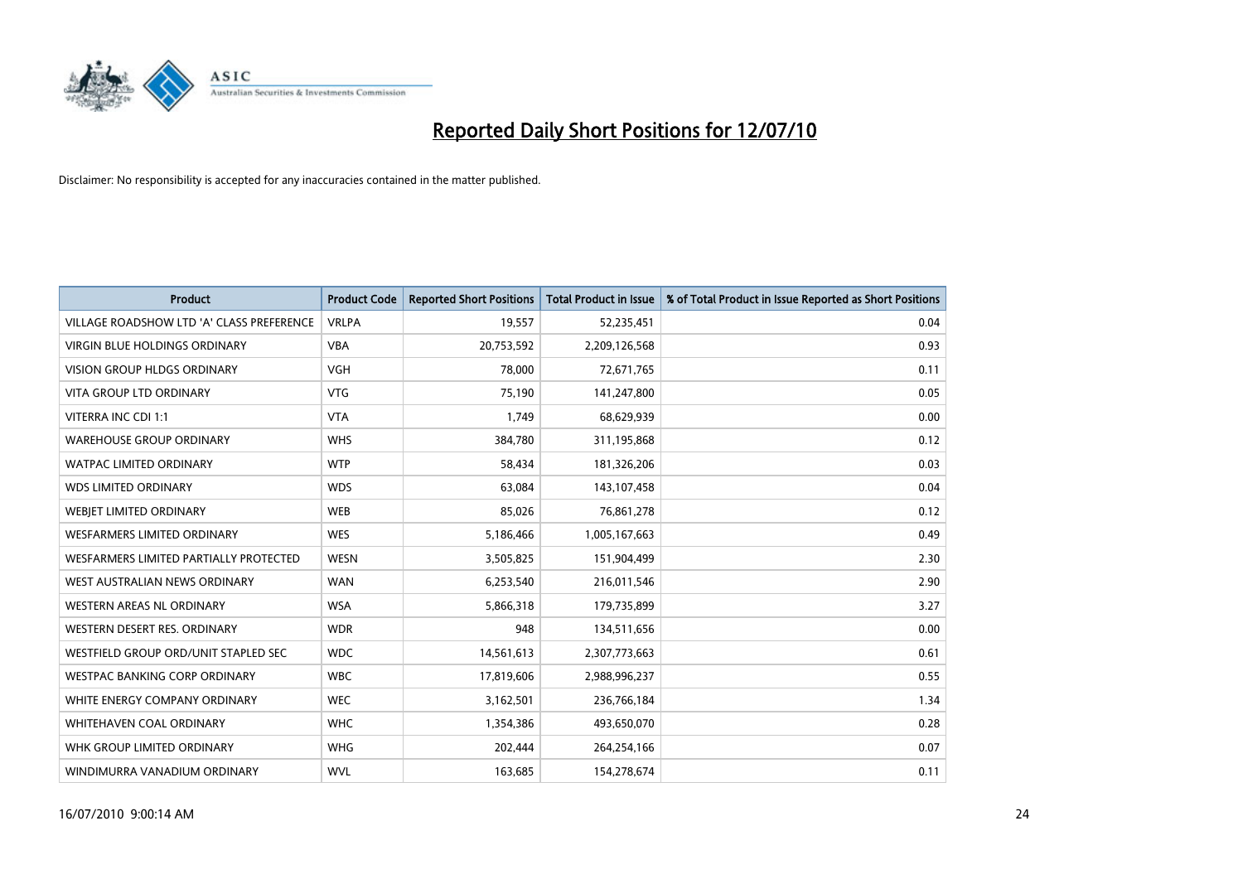

| <b>Product</b>                            | <b>Product Code</b> | <b>Reported Short Positions</b> | <b>Total Product in Issue</b> | % of Total Product in Issue Reported as Short Positions |
|-------------------------------------------|---------------------|---------------------------------|-------------------------------|---------------------------------------------------------|
| VILLAGE ROADSHOW LTD 'A' CLASS PREFERENCE | <b>VRLPA</b>        | 19,557                          | 52,235,451                    | 0.04                                                    |
| VIRGIN BLUE HOLDINGS ORDINARY             | <b>VBA</b>          | 20,753,592                      | 2,209,126,568                 | 0.93                                                    |
| <b>VISION GROUP HLDGS ORDINARY</b>        | <b>VGH</b>          | 78,000                          | 72,671,765                    | 0.11                                                    |
| <b>VITA GROUP LTD ORDINARY</b>            | <b>VTG</b>          | 75,190                          | 141,247,800                   | 0.05                                                    |
| VITERRA INC CDI 1:1                       | <b>VTA</b>          | 1,749                           | 68,629,939                    | 0.00                                                    |
| <b>WAREHOUSE GROUP ORDINARY</b>           | <b>WHS</b>          | 384,780                         | 311,195,868                   | 0.12                                                    |
| <b>WATPAC LIMITED ORDINARY</b>            | <b>WTP</b>          | 58,434                          | 181,326,206                   | 0.03                                                    |
| <b>WDS LIMITED ORDINARY</b>               | <b>WDS</b>          | 63,084                          | 143,107,458                   | 0.04                                                    |
| WEBJET LIMITED ORDINARY                   | <b>WEB</b>          | 85,026                          | 76,861,278                    | 0.12                                                    |
| WESFARMERS LIMITED ORDINARY               | <b>WES</b>          | 5,186,466                       | 1,005,167,663                 | 0.49                                                    |
| WESFARMERS LIMITED PARTIALLY PROTECTED    | <b>WESN</b>         | 3,505,825                       | 151,904,499                   | 2.30                                                    |
| WEST AUSTRALIAN NEWS ORDINARY             | <b>WAN</b>          | 6,253,540                       | 216,011,546                   | 2.90                                                    |
| WESTERN AREAS NL ORDINARY                 | <b>WSA</b>          | 5,866,318                       | 179,735,899                   | 3.27                                                    |
| WESTERN DESERT RES. ORDINARY              | <b>WDR</b>          | 948                             | 134,511,656                   | 0.00                                                    |
| WESTFIELD GROUP ORD/UNIT STAPLED SEC      | <b>WDC</b>          | 14,561,613                      | 2,307,773,663                 | 0.61                                                    |
| <b>WESTPAC BANKING CORP ORDINARY</b>      | <b>WBC</b>          | 17,819,606                      | 2,988,996,237                 | 0.55                                                    |
| WHITE ENERGY COMPANY ORDINARY             | <b>WEC</b>          | 3,162,501                       | 236,766,184                   | 1.34                                                    |
| WHITEHAVEN COAL ORDINARY                  | <b>WHC</b>          | 1,354,386                       | 493,650,070                   | 0.28                                                    |
| WHK GROUP LIMITED ORDINARY                | <b>WHG</b>          | 202,444                         | 264,254,166                   | 0.07                                                    |
| WINDIMURRA VANADIUM ORDINARY              | <b>WVL</b>          | 163,685                         | 154,278,674                   | 0.11                                                    |